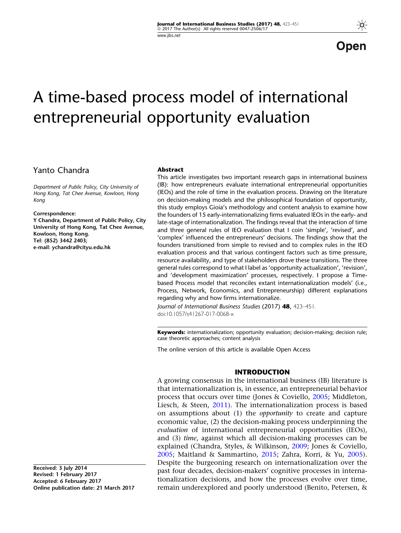**Open** 

# A time-based process model of international entrepreneurial opportunity evaluation

# Yanto Chandra

Department of Public Policy, City University of Hong Kong, Tat Chee Avenue, Kowloon, Hong Kong

#### Correspondence:

Y Chandra, Department of Public Policy, City University of Hong Kong, Tat Chee Avenue, Kowloon, Hong Kong. Tel: (852) 3442 2403; e-mail: ychandra@cityu.edu.hk

#### Abstract

This article investigates two important research gaps in international business (IB): how entrepreneurs evaluate international entrepreneurial opportunities (IEOs) and the role of time in the evaluation process. Drawing on the literature on decision-making models and the philosophical foundation of opportunity, this study employs Gioia's methodology and content analysis to examine how the founders of 15 early-internationalizing firms evaluated IEOs in the early- and late-stage of internationalization. The findings reveal that the interaction of time and three general rules of IEO evaluation that I coin 'simple', 'revised', and 'complex' influenced the entrepreneurs' decisions. The findings show that the founders transitioned from simple to revised and to complex rules in the IEO evaluation process and that various contingent factors such as time pressure, resource availability, and type of stakeholders drove these transitions. The three general rules correspond to what I label as 'opportunity actualization', 'revision', and 'development maximization' processes, respectively. I propose a Timebased Process model that reconciles extant internationalization models' (i.e., Process, Network, Economics, and Entrepreneurship) different explanations regarding why and how firms internationalize.

Journal of International Business Studies (2017) 48, 423–451. doi:10.1057/s41267-017-0068-x

**Keywords:** internationalization; opportunity evaluation; decision-making; decision rule; case theoretic approaches; content analysis

The online version of this article is available Open Access

## INTRODUCTION

A growing consensus in the international business (IB) literature is that internationalization is, in essence, an entrepreneurial behavior process that occurs over time (Jones & Coviello, [2005](#page-27-0); Middleton, Liesch, & Steen, [2011\)](#page-27-0). The internationalization process is based on assumptions about (1) the *opportunity* to create and capture economic value, (2) the decision-making process underpinning the evaluation of international entrepreneurial opportunities (IEOs), and (3) time, against which all decision-making processes can be explained (Chandra, Styles, & Wilkinson, [2009;](#page-26-0) Jones & Coviello, [2005;](#page-27-0) Maitland & Sammartino, [2015](#page-27-0); Zahra, Korri, & Yu, [2005](#page-27-0)). Despite the burgeoning research on internationalization over the past four decades, decision-makers' cognitive processes in internationalization decisions, and how the processes evolve over time, remain underexplored and poorly understood (Benito, Petersen, &

Received: 3 July 2014 Revised: 1 February 2017 Accepted: 6 February 2017 Online publication date: 21 March 2017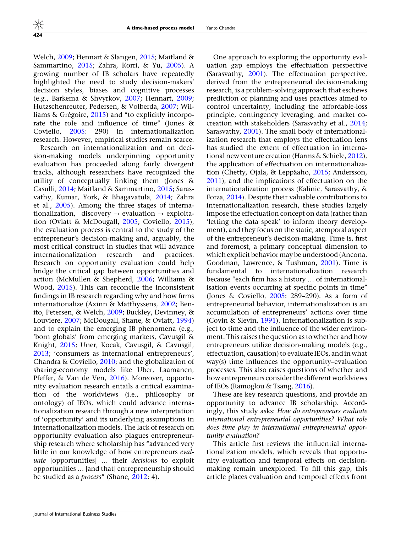Welch, [2009;](#page-26-0) Hennart & Slangen, [2015](#page-26-0); Maitland & Sammartino, [2015;](#page-27-0) Zahra, Korri, & Yu, [2005\)](#page-27-0). A growing number of IB scholars have repeatedly highlighted the need to study decision-makers' decision styles, biases and cognitive processes (e.g., Barkema & Shvyrkov, [2007;](#page-26-0) Hennart, [2009;](#page-26-0) Hutzschenreuter, Pedersen, & Volberda, [2007](#page-26-0); Williams  $\&$  Grégoire, [2015\)](#page-27-0) and "to explicitly incorporate the role and influence of time'' (Jones & Coviello, [2005](#page-27-0): 290) in internationalization research. However, empirical studies remain scarce.

Research on internationalization and on decision-making models underpinning opportunity evaluation has proceeded along fairly divergent tracks, although researchers have recognized the utility of conceptually linking them (Jones & Casulli, [2014;](#page-27-0) Maitland & Sammartino, [2015;](#page-27-0) Sarasvathy, Kumar, York, & Bhagavatula, [2014;](#page-27-0) Zahra et al., [2005](#page-27-0)). Among the three stages of internationalization, discovery  $\rightarrow$  evaluation  $\rightarrow$  exploitation (Oviatt & McDougall, [2005](#page-27-0); Coviello, [2015\)](#page-26-0), the evaluation process is central to the study of the entrepreneur's decision-making and, arguably, the most critical construct in studies that will advance internationalization research and practices. Research on opportunity evaluation could help bridge the critical gap between opportunities and action (McMullen & Shepherd, [2006;](#page-27-0) Williams & Wood, [2015](#page-27-0)). This can reconcile the inconsistent findings in IB research regarding why and how firms internationalize (Axinn & Matthyssens, [2002](#page-26-0); Benito, Petersen, & Welch, [2009](#page-26-0); Buckley, Devinney, & Louviere, [2007;](#page-26-0) McDougall, Shane, & Oviatt, [1994\)](#page-27-0) and to explain the emerging IB phenomena (e.g., 'born globals' from emerging markets, Cavusgil & Knight, [2015;](#page-26-0) Uner, Kocak, Cavusgil, & Cavusgil, [2013;](#page-27-0) 'consumers as international entrepreneurs', Chandra & Coviello, [2010](#page-26-0); and the globalization of sharing-economy models like Uber, Laamanen, Pfeffer, & Van de Ven, [2016](#page-27-0)). Moreover, opportunity evaluation research entails a critical examination of the worldviews (i.e., philosophy or ontology) of IEOs, which could advance internationalization research through a new interpretation of 'opportunity' and its underlying assumptions in internationalization models. The lack of research on opportunity evaluation also plagues entrepreneurship research where scholarship has "advanced very little in our knowledge of how entrepreneurs evaluate [opportunities] ... their decisions to exploit opportunities … [and that] entrepreneurship should be studied as a *process"* (Shane, [2012:](#page-27-0) 4).

One approach to exploring the opportunity evaluation gap employs the effectuation perspective (Sarasvathy, [2001\)](#page-27-0). The effectuation perspective, derived from the entrepreneurial decision-making research, is a problem-solving approach that eschews prediction or planning and uses practices aimed to control uncertainty, including the affordable-loss principle, contingency leveraging, and market cocreation with stakeholders (Sarasvathy et al., [2014;](#page-27-0) Sarasvathy, [2001\)](#page-27-0). The small body of internationalization research that employs the effectuation lens has studied the extent of effectuation in international new venture creation (Harms & Schiele, [2012](#page-26-0)), the application of effectuation on internationaliza-tion (Chetty, Ojala, & Leppäaho, [2015;](#page-26-0) Andersson, [2011\)](#page-26-0), and the implications of effectuation on the internationalization process (Kalinic, Sarasvathy, & Forza, [2014](#page-27-0)). Despite their valuable contributions to internationalization research, these studies largely impose the effectuation concept on data (rather than 'letting the data speak' to inform theory development), and they focus on the static, atemporal aspect of the entrepreneur's decision-making. Time is, first and foremost, a primary conceptual dimension to which explicit behavior may be understood (Ancona, Goodman, Lawrence, & Tushman, [2001](#page-26-0)). Time is fundamental to internationalization research because "each firm has a history ... of internationalisation events occurring at specific points in time'' (Jones & Coviello, [2005](#page-27-0): 289–290). As a form of entrepreneurial behavior, internationalization is an accumulation of entrepreneurs' actions over time (Covin & Slevin, [1991](#page-26-0)). Internationalization is subject to time and the influence of the wider environment. This raises the question as to whether and how entrepreneurs utilize decision-making models (e.g., effectuation, causation) to evaluate IEOs, and in what way(s) time influences the opportunity–evaluation processes. This also raises questions of whether and how entrepreneurs consider the different worldviews of IEOs (Ramoglou & Tsang, [2016\)](#page-27-0).

These are key research questions, and provide an opportunity to advance IB scholarship. Accordingly, this study asks: How do entrepreneurs evaluate international entrepreneurial opportunities? What role does time play in international entrepreneurial opportunity evaluation?

This article first reviews the influential internationalization models, which reveals that opportunity evaluation and temporal effects on decisionmaking remain unexplored. To fill this gap, this article places evaluation and temporal effects front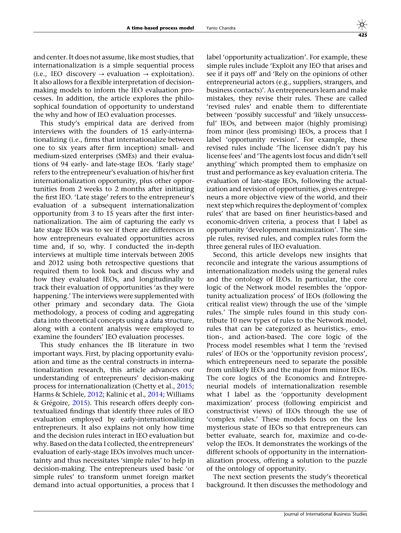and center. It does not assume, like most studies, that internationalization is a simple sequential process (i.e., IEO discovery  $\rightarrow$  evaluation  $\rightarrow$  exploitation). It also allows for a flexible interpretation of decisionmaking models to inform the IEO evaluation processes. In addition, the article explores the philosophical foundation of opportunity to understand the why and how of IEO evaluation processes.

This study's empirical data are derived from interviews with the founders of 15 early-internationalizing (i.e., firms that internationalize between one to six years after firm inception) small- and medium-sized enterprises (SMEs) and their evaluations of 94 early- and late-stage IEOs. 'Early stage' refers to the entrepreneur's evaluation of his/her first internationalization opportunity, plus other opportunities from 2 weeks to 2 months after initiating the first IEO. 'Late stage' refers to the entrepreneur's evaluation of a subsequent internationalization opportunity from 3 to 15 years after the first internationalization. The aim of capturing the early vs late stage IEOs was to see if there are differences in how entrepreneurs evaluated opportunities across time and, if so, why. I conducted the in-depth interviews at multiple time intervals between 2005 and 2012 using both retrospective questions that required them to look back and discuss why and how they evaluated IEOs, and longitudinally to track their evaluation of opportunities 'as they were happening.' The interviews were supplemented with other primary and secondary data. The Gioia methodology, a process of coding and aggregating data into theoretical concepts using a data structure, along with a content analysis were employed to examine the founders' IEO evaluation processes.

This study enhances the IB literature in two important ways. First, by placing opportunity evaluation and time as the central constructs in internationalization research, this article advances our understanding of entrepreneurs' decision-making process for internationalization (Chetty et al., [2015;](#page-26-0) Harms & Schiele, [2012;](#page-26-0) Kalinic et al., [2014](#page-27-0); Williams  $\&$  Grégoire, [2015](#page-27-0)). This research offers deeply contextualized findings that identify three rules of IEO evaluation employed by early-internationalizing entrepreneurs. It also explains not only how time and the decision rules interact in IEO evaluation but why. Based on the data I collected, the entrepreneurs' evaluation of early-stage IEOs involves much uncertainty and thus necessitates 'simple rules' to help in decision-making. The entrepreneurs used basic 'or simple rules' to transform unmet foreign market demand into actual opportunities, a process that I

label 'opportunity actualization'. For example, these simple rules include 'Exploit any IEO that arises and see if it pays off' and 'Rely on the opinions of other entrepreneurial actors (e.g., suppliers, strangers, and business contacts)'. As entrepreneurs learn and make mistakes, they revise their rules. These are called 'revised rules' and enable them to differentiate between 'possibly successful' and 'likely unsuccessful' IEOs, and between major (highly promising) from minor (less promising) IEOs, a process that I label 'opportunity revision'. For example, these revised rules include 'The licensee didn't pay his license fees' and 'The agents lost focus and didn't sell anything' which prompted them to emphasize on trust and performance as key evaluation criteria. The evaluation of late-stage IEOs, following the actualization and revision of opportunities, gives entrepreneurs a more objective view of the world, and their next step which requires the deploymentof 'complex rules' that are based on finer heuristics-based and economic-driven criteria, a process that I label as opportunity 'development maximization'. The simple rules, revised rules, and complex rules form the three general rules of IEO evaluation.

Second, this article develops new insights that reconcile and integrate the various assumptions of internationalization models using the general rules and the ontology of IEOs. In particular, the core logic of the Network model resembles the 'opportunity actualization process' of IEOs (following the critical realist view) through the use of the 'simple rules.' The simple rules found in this study contribute 10 new types of rules to the Network model, rules that can be categorized as heuristics-, emotion-, and action-based. The core logic of the Process model resembles what I term the 'revised rules' of IEOs or the 'opportunity revision process', which entrepreneurs need to separate the possible from unlikely IEOs and the major from minor IEOs. The core logics of the Economics and Entrepreneurial models of internationalization resemble what I label as the 'opportunity development maximization' process (following empiricist and constructivist views) of IEOs through the use of 'complex rules.' These models focus on the less mysterious state of IEOs so that entrepreneurs can better evaluate, search for, maximize and co-develop the IEOs. It demonstrates the workings of the different schools of opportunity in the internationalization process, offering a solution to the puzzle of the ontology of opportunity.

The next section presents the study's theoretical background. It then discusses the methodology and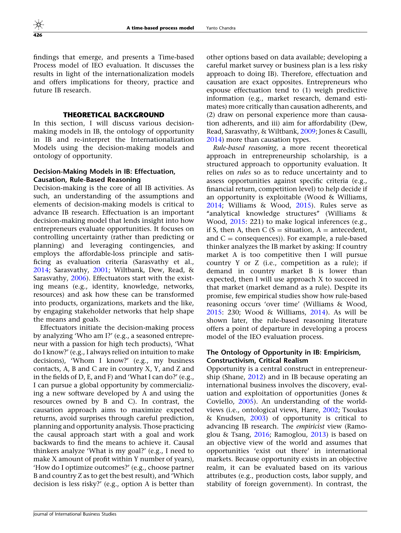findings that emerge, and presents a Time-based Process model of IEO evaluation. It discusses the results in light of the internationalization models and offers implications for theory, practice and future IB research.

# THEORETICAL BACKGROUND

In this section, I will discuss various decisionmaking models in IB, the ontology of opportunity in IB and re-interpret the Internationalization Models using the decision-making models and ontology of opportunity.

## Decision-Making Models in IB: Effectuation, Causation, Rule-Based Reasoning

Decision-making is the core of all IB activities. As such, an understanding of the assumptions and elements of decision-making models is critical to advance IB research. Effectuation is an important decision-making model that lends insight into how entrepreneurs evaluate opportunities. It focuses on controlling uncertainty (rather than predicting or planning) and leveraging contingencies, and employs the affordable-loss principle and satisficing as evaluation criteria (Sarasvathy et al., [2014;](#page-27-0) Sarasvathy, [2001](#page-27-0); Wiltbank, Dew, Read, & Sarasvathy, [2006](#page-27-0)). Effectuators start with the existing means (e.g., identity, knowledge, networks, resources) and ask how these can be transformed into products, organizations, markets and the like, by engaging stakeholder networks that help shape the means and goals.

Effectuators initiate the decision-making process by analyzing 'Who am I?' (e.g., a seasoned entrepreneur with a passion for high tech products), 'What do I know?' (e.g., I always relied on intuition to make decisions), 'Whom I know?' (e.g., my business contacts, A, B and C are in country X, Y, and Z and in the fields of D, E, and F) and 'What I can do?' (e.g., I can pursue a global opportunity by commercializing a new software developed by A and using the resources owned by B and C). In contrast, the causation approach aims to maximize expected returns, avoid surprises through careful prediction, planning and opportunity analysis. Those practicing the causal approach start with a goal and work backwards to find the means to achieve it. Causal thinkers analyze 'What is my goal?' (e.g., I need to make X amount of profit within Y number of years), 'How do I optimize outcomes?' (e.g., choose partner B and country Z as to get the best result), and 'Which decision is less risky?' (e.g., option A is better than other options based on data available; developing a careful market survey or business plan is a less risky approach to doing IB). Therefore, effectuation and causation are exact opposites. Entrepreneurs who espouse effectuation tend to (1) weigh predictive information (e.g., market research, demand estimates) more critically than causation adherents, and (2) draw on personal experience more than causation adherents, and iii) aim for affordability (Dew, Read, Sarasvathy, & Wiltbank, [2009;](#page-26-0) Jones & Casulli, [2014\)](#page-27-0) more than causation types.

Rule-based reasoning, a more recent theoretical approach in entrepreneurship scholarship, is a structured approach to opportunity evaluation. It relies on rules so as to reduce uncertainty and to assess opportunities against specific criteria (e.g., financial return, competition level) to help decide if an opportunity is exploitable (Wood & Williams, [2014;](#page-27-0) Williams & Wood, [2015\)](#page-27-0). Rules serve as "analytical knowledge structures" (Williams & Wood, [2015:](#page-27-0) 221) to make logical inferences (e.g., if S, then A, then C ( $S =$  situation,  $A =$  antecedent, and  $C =$  consequences)). For example, a rule-based thinker analyzes the IB market by asking: If country market A is too competitive then I will pursue country Y or Z (i.e., competition as a rule); if demand in country market B is lower than expected, then I will use approach X to succeed in that market (market demand as a rule). Despite its promise, few empirical studies show how rule-based reasoning occurs 'over time' (Williams & Wood, [2015:](#page-27-0) 230; Wood & Williams, [2014\)](#page-27-0). As will be shown later, the rule-based reasoning literature offers a point of departure in developing a process model of the IEO evaluation process.

## The Ontology of Opportunity in IB: Empiricism, Constructivism, Critical Realism

Opportunity is a central construct in entrepreneurship (Shane, [2012](#page-27-0)) and in IB because operating an international business involves the discovery, evaluation and exploitation of opportunities (Jones & Coviello, [2005\)](#page-27-0). An understanding of the worldviews (i.e., ontological views, Harre, [2002](#page-26-0); Tsoukas & Knudsen, [2003\)](#page-27-0) of opportunity is critical to advancing IB research. The empiricist view (Ramoglou & Tsang, [2016](#page-27-0); Ramoglou, [2013\)](#page-27-0) is based on an objective view of the world and assumes that opportunities 'exist out there' in international markets. Because opportunity exists in an objective realm, it can be evaluated based on its various attributes (e.g., production costs, labor supply, and stability of foreign government). In contrast, the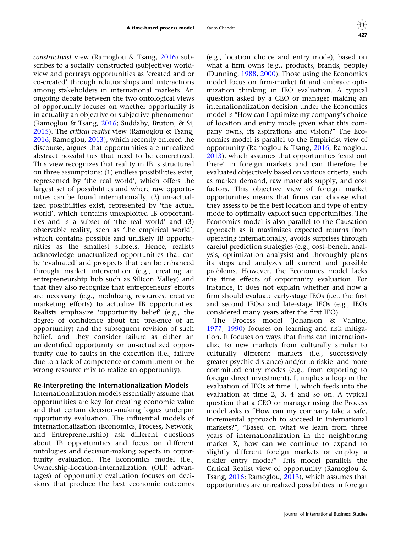constructivist view (Ramoglou & Tsang, [2016](#page-27-0)) subscribes to a socially constructed (subjective) worldview and portrays opportunities as 'created and or co-created' through relationships and interactions among stakeholders in international markets. An ongoing debate between the two ontological views of opportunity focuses on whether opportunity is in actuality an objective or subjective phenomenon (Ramoglou & Tsang, [2016](#page-27-0); Suddaby, Bruton, & Si, [2015\)](#page-27-0). The critical realist view (Ramoglou & Tsang, [2016;](#page-27-0) Ramoglou, [2013](#page-27-0)), which recently entered the discourse, argues that opportunities are unrealized abstract possibilities that need to be concretized. This view recognizes that reality in IB is structured on three assumptions: (1) endless possibilities exist, represented by 'the real world', which offers the largest set of possibilities and where raw opportunities can be found internationally, (2) un-actualized possibilities exist, represented by 'the actual world', which contains unexploited IB opportunities and is a subset of 'the real world' and (3) observable reality, seen as 'the empirical world', which contains possible and unlikely IB opportunities as the smallest subsets. Hence, realists acknowledge unactualized opportunities that can be 'evaluated' and prospects that can be enhanced through market intervention (e.g., creating an entrepreneurship hub such as Silicon Valley) and that they also recognize that entrepreneurs' efforts are necessary (e.g., mobilizing resources, creative marketing efforts) to actualize IB opportunities. Realists emphasize 'opportunity belief' (e.g., the degree of confidence about the presence of an opportunity) and the subsequent revision of such belief, and they consider failure as either an unidentified opportunity or un-actualized opportunity due to faults in the execution (i.e., failure due to a lack of competence or commitment or the wrong resource mix to realize an opportunity).

### Re-Interpreting the Internationalization Models

Internationalization models essentially assume that opportunities are key for creating economic value and that certain decision-making logics underpin opportunity evaluation. The influential models of internationalization (Economics, Process, Network, and Entrepreneurship) ask different questions about IB opportunities and focus on different ontologies and decision-making aspects in opportunity evaluation. The Economics model (i.e., Ownership-Location-Internalization (OLI) advantages) of opportunity evaluation focuses on decisions that produce the best economic outcomes

(e.g., location choice and entry mode), based on what a firm owns (e.g., products, brands, people) (Dunning, [1988](#page-26-0), [2000\)](#page-26-0). Those using the Economics model focus on firm-market fit and embrace optimization thinking in IEO evaluation. A typical question asked by a CEO or manager making an internationalization decision under the Economics model is ''How can I optimize my company's choice of location and entry mode given what this company owns, its aspirations and vision?'' The Economics model is parallel to the Empiricist view of opportunity (Ramoglou & Tsang, [2016](#page-27-0); Ramoglou, [2013\)](#page-27-0), which assumes that opportunities 'exist out there' in foreign markets and can therefore be evaluated objectively based on various criteria, such as market demand, raw materials supply, and cost factors. This objective view of foreign market opportunities means that firms can choose what they assess to be the best location and type of entry mode to optimally exploit such opportunities. The Economics model is also parallel to the Causation approach as it maximizes expected returns from operating internationally, avoids surprises through careful prediction strategies (e.g., cost–benefit analysis, optimization analysis) and thoroughly plans its steps and analyzes all current and possible problems. However, the Economics model lacks the time effects of opportunity evaluation. For instance, it does not explain whether and how a firm should evaluate early-stage IEOs (i.e., the first and second IEOs) and late-stage IEOs (e.g., IEOs considered many years after the first IEO).

The Process model (Johanson & Vahlne, [1977,](#page-27-0) [1990](#page-27-0)) focuses on learning and risk mitigation. It focuses on ways that firms can internationalize to new markets from culturally similar to culturally different markets (i.e., successively greater psychic distance) and/or to riskier and more committed entry modes (e.g., from exporting to foreign direct investment). It implies a loop in the evaluation of IEOs at time 1, which feeds into the evaluation at time 2, 3, 4 and so on. A typical question that a CEO or manager using the Process model asks is ''How can my company take a safe, incremental approach to succeed in international markets?'', ''Based on what we learn from three years of internationalization in the neighboring market X, how can we continue to expand to slightly different foreign markets or employ a riskier entry mode?'' This model parallels the Critical Realist view of opportunity (Ramoglou & Tsang, [2016;](#page-27-0) Ramoglou, [2013\)](#page-27-0), which assumes that opportunities are unrealized possibilities in foreign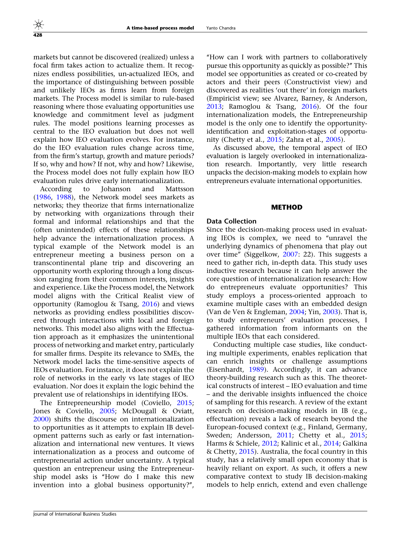markets but cannot be discovered (realized) unless a focal firm takes action to actualize them. It recognizes endless possibilities, un-actualized IEOs, and the importance of distinguishing between possible and unlikely IEOs as firms learn from foreign markets. The Process model is similar to rule-based reasoning where those evaluating opportunities use knowledge and commitment level as judgment rules. The model positions learning processes as central to the IEO evaluation but does not well explain how IEO evaluation evolves. For instance, do the IEO evaluation rules change across time, from the firm's startup, growth and mature periods? If so, why and how? If not, why and how? Likewise, the Process model does not fully explain how IEO evaluation rules drive early internationalization.

According to Johanson and Mattsson [\(1986,](#page-27-0) [1988](#page-27-0)), the Network model sees markets as networks; they theorize that firms internationalize by networking with organizations through their formal and informal relationships and that the (often unintended) effects of these relationships help advance the internationalization process. A typical example of the Network model is an entrepreneur meeting a business person on a transcontinental plane trip and discovering an opportunity worth exploring through a long discussion ranging from their common interests, insights and experience. Like the Process model, the Network model aligns with the Critical Realist view of opportunity (Ramoglou & Tsang, [2016\)](#page-27-0) and views networks as providing endless possibilities discovered through interactions with local and foreign networks. This model also aligns with the Effectuation approach as it emphasizes the unintentional process of networking and market entry, particularly for smaller firms. Despite its relevance to SMEs, the Network model lacks the time-sensitive aspects of IEOs evaluation. For instance, it does not explain the role of networks in the early vs late stages of IEO evaluation. Nor does it explain the logic behind the prevalent use of relationships in identifying IEOs.

The Entrepreneurship model (Coviello, [2015;](#page-26-0) Jones & Coviello, [2005;](#page-27-0) McDougall & Oviatt, [2000](#page-27-0)) shifts the discourse on internationalization to opportunities as it attempts to explain IB development patterns such as early or fast internationalization and international new ventures. It views internationalization as a process and outcome of entrepreneurial action under uncertainty. A typical question an entrepreneur using the Entrepreneurship model asks is ''How do I make this new invention into a global business opportunity?'',

''How can I work with partners to collaboratively pursue this opportunity as quickly as possible?'' This model see opportunities as created or co-created by actors and their peers (Constructivist view) and discovered as realities 'out there' in foreign markets (Empiricist view; see Alvarez, Barney, & Anderson, [2013;](#page-26-0) Ramoglou & Tsang, [2016\)](#page-27-0). Of the four internationalization models, the Entrepreneurship model is the only one to identify the opportunityidentification and exploitation-stages of opportunity (Chetty et al., [2015](#page-26-0); Zahra et al., [2005\)](#page-27-0).

As discussed above, the temporal aspect of IEO evaluation is largely overlooked in internationalization research. Importantly, very little research unpacks the decision-making models to explain how entrepreneurs evaluate international opportunities.

#### METHOD

#### Data Collection

Since the decision-making process used in evaluating IEOs is complex, we need to ''unravel the underlying dynamics of phenomena that play out over time'' (Siggelkow, [2007:](#page-27-0) 22). This suggests a need to gather rich, in-depth data. This study uses inductive research because it can help answer the core question of internationalization research: How do entrepreneurs evaluate opportunities? This study employs a process-oriented approach to examine multiple cases with an embedded design (Van de Ven & Engleman, [2004;](#page-27-0) Yin, [2003](#page-27-0)). That is, to study entrepreneurs' evaluation processes, I gathered information from informants on the multiple IEOs that each considered.

Conducting multiple case studies, like conducting multiple experiments, enables replication that can enrich insights or challenge assumptions (Eisenhardt, [1989](#page-26-0)). Accordingly, it can advance theory-building research such as this. The theoretical constructs of interest – IEO evaluation and time – and the derivable insights influenced the choice of sampling for this research. A review of the extant research on decision-making models in IB (e.g., effectuation) reveals a lack of research beyond the European-focused context (e.g., Finland, Germany, Sweden; Andersson, [2011;](#page-26-0) Chetty et al., [2015;](#page-26-0) Harms & Schiele, [2012;](#page-26-0) Kalinic et al., [2014;](#page-27-0) Galkina & Chetty, [2015\)](#page-26-0). Australia, the focal country in this study, has a relatively small open economy that is heavily reliant on export. As such, it offers a new comparative context to study IB decision-making models to help enrich, extend and even challenge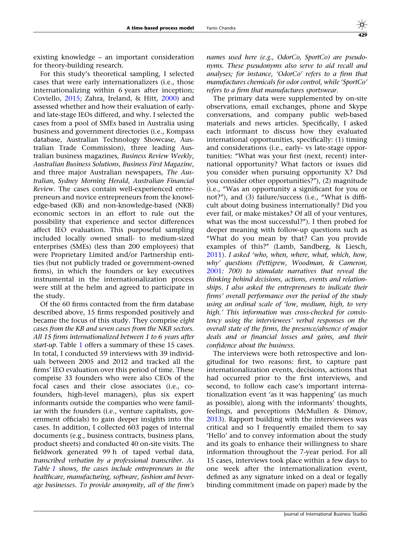existing knowledge – an important consideration for theory-building research.

For this study's theoretical sampling, I selected cases that were early internationalizers (i.e., those internationalizing within 6 years after inception; Coviello, [2015](#page-26-0); Zahra, Ireland, & Hitt, [2000\)](#page-27-0) and assessed whether and how their evaluation of earlyand late-stage IEOs differed, and why. I selected the cases from a pool of SMEs based in Australia using business and government directories (i.e., Kompass database, Australian Technology Showcase, Australian Trade Commission), three leading Australian business magazines, Business Review Weekly, Australian Business Solutions, Business First Magazine, and three major Australian newspapers, The Australian, Sydney Morning Herald, Australian Financial Review. The cases contain well-experienced entrepreneurs and novice entrepreneurs from the knowledge-based (KB) and non-knowledge-based (NKB) economic sectors in an effort to rule out the possibility that experience and sector differences affect IEO evaluation. This purposeful sampling included locally owned small- to medium-sized enterprises (SMEs) (less than 200 employees) that were Proprietary Limited and/or Partnership entities (but not publicly traded or government-owned firms), in which the founders or key executives instrumental in the internationalization process were still at the helm and agreed to participate in the study.

Of the 60 firms contacted from the firm database described above, 15 firms responded positively and became the focus of this study. They comprise eight cases from the KB and seven cases from the NKB sectors. All 15 firms internationalized between 1 to 6 years after start-up. Table [1](#page-7-0) offers a summary of these 15 cases. In total, I conducted 59 interviews with 39 individuals between 2005 and 2012 and tracked all the firms' IEO evaluation over this period of time. These comprise 33 founders who were also CEOs of the focal cases and their close associates (i.e., cofounders, high-level managers), plus six expert informants outside the companies who were familiar with the founders (i.e., venture capitalists, government officials) to gain deeper insights into the cases. In addition, I collected 603 pages of internal documents (e.g., business contracts, business plans, product sheets) and conducted 40 on-site visits. The fieldwork generated 99 h of taped verbal data, transcribed verbatim by a professional transcriber. As Table [1](#page-7-0) shows, the cases include entrepreneurs in the healthcare, manufacturing, software, fashion and beverage businesses. To provide anonymity, all of the firm's names used here (e.g., OdorCo, SportCo) are pseudonyms. These pseudonyms also serve to aid recall and analyses; for instance, 'OdorCo' refers to a firm that manufactures chemicals for odor control, while 'SportCo' refers to a firm that manufactures sportswear.

The primary data were supplemented by on-site observations, email exchanges, phone and Skype conversations, and company public web-based materials and news articles. Specifically, I asked each informant to discuss how they evaluated international opportunities, specifically: (1) timing and considerations (i.e., early- vs late-stage opportunities: ''What was your first (next, recent) international opportunity? What factors or issues did you consider when pursuing opportunity X? Did you consider other opportunities?''), (2) magnitude (i.e., ''Was an opportunity a significant for you or not?"), and (3) failure/success (i.e., "What is difficult about doing business internationally? Did you ever fail, or make mistakes? Of all of your ventures, what was the most successful?''). I then probed for deeper meaning with follow-up questions such as ''What do you mean by that? Can you provide examples of this?'' (Lamb, Sandberg, & Liesch, [2011\)](#page-27-0). I asked 'who, when, where, what, which, how, why' questions (Pettigrew, Woodman, & Cameron, [2001](#page-27-0): 700) to stimulate narratives that reveal the thinking behind decisions, actions, events and relationships. I also asked the entrepreneurs to indicate their firms' overall performance over the period of the study using an ordinal scale of 'low, medium, high, to very high.' This information was cross-checked for consistency using the interviewees' verbal responses on the overall state of the firms, the presence/absence of major deals and or financial losses and gains, and their confidence about the business.

The interviews were both retrospective and longitudinal for two reasons: first, to capture past internationalization events, decisions, actions that had occurred prior to the first interviews, and second, to follow each case's important internationalization event 'as it was happening' (as much as possible), along with the informants' thoughts, feelings, and perceptions (McMullen & Dimov, [2013\)](#page-27-0). Rapport building with the interviewees was critical and so I frequently emailed them to say 'Hello' and to convey information about the study and its goals to enhance their willingness to share information throughout the 7-year period. For all 15 cases, interviews took place within a few days to one week after the internationalization event, defined as any signature inked on a deal or legally binding commitment (made on paper) made by the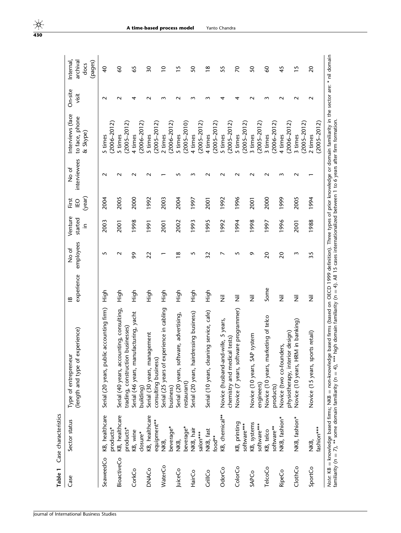<span id="page-7-0"></span>

| Table 1            | Case characteristics          |                                                                                                                                                                                         |                                 |                    |                          |                       |                       |                                                   |                  |                                         |
|--------------------|-------------------------------|-----------------------------------------------------------------------------------------------------------------------------------------------------------------------------------------|---------------------------------|--------------------|--------------------------|-----------------------|-----------------------|---------------------------------------------------|------------------|-----------------------------------------|
| Case               | Sector status                 | (length and type of experience)<br>Type of entrepreneur                                                                                                                                 | experience<br>$\mathbf{\Omega}$ | employees<br>No of | Venture<br>started<br>⊇. | (year)<br>ĒΟ<br>First | interviewees<br>No of | Interviews (face<br>to face, phone<br>Skype)<br>ಜ | On-site<br>visit | archival<br>Internal<br>(pages)<br>docs |
| SeaweedCo          | KB, healthcare<br>products*   | c accounting firm)<br>Serial (20 years, publi                                                                                                                                           | )<br>도                          | 5                  | 2003                     | 2004                  | $\sim$                | $(2006 - 2012)$<br>5 times                        | $\sim$           | $\overline{4}$                          |
| <b>BioactiveCo</b> | KB, healthcare<br>products*   | Serial (40 years, accounting, consulting,<br>businesses)<br>trading, construction                                                                                                       | 스<br>도                          | $\sim$             | 2001                     | 2005                  | $\sim$                | $(2005 - 2012)$<br>5 times                        | $\sim$           | 8                                       |
| CorkCo             | KB, wine<br>closure*          | Serial (46 years, manufacturing, yacht<br>building)                                                                                                                                     | High                            | 99                 | 1998                     | 2000                  |                       | $(2006 - 2012)$<br>4 times                        | 4                | 39                                      |
| DNACo              | KB, healthcare<br>equipment** | Serial (30 years, management<br>consulting business)                                                                                                                                    | High                            | 22                 | 1991                     | 1992                  |                       | $(2005 - 2012)$<br>5 times                        | $\sim$           | $\overline{\mathbf{50}}$                |
| WaterCo            | beverage*<br>NKB,             | Serial (25 years of experience in cabling<br>business)                                                                                                                                  | High                            |                    | 2001                     | 2003                  |                       | $(2006 - 2012)$<br>2 times                        | m                | $\overline{0}$                          |
| JuiceCo            | beverage*<br>NKB,             | Serial (20 years, software, advertising,<br>restaurant)                                                                                                                                 | High                            | ∞                  | 2002                     | 2004                  | S                     | $(2005 - 2010)$<br>5 times                        |                  | $\overline{15}$                         |
| HairCo             | NKB, hair<br>salon***         | Serial (20 years, hairdressing business)                                                                                                                                                | high                            | 5                  | 1993                     | 1997                  |                       | $(2005 - 2012)$<br>4 times                        | m                | SO                                      |
| CrillCo            | NKB, fast<br>food**           | Serial (10 years, cleaning service, cafe)                                                                                                                                               | High                            | 32                 | 1995                     | 2001                  |                       | $(2005 - 2012)$<br>4 times                        | m                | $\frac{8}{1}$                           |
| OdorCo             | KB, chemical**                | Novice (husband-and-wife, 5 years,<br>chemistry and medical tests)                                                                                                                      | $\overline{\overline{z}}$       | ↖                  | 1992                     | 1992                  |                       | $(2005 - 2012)$<br>5 times                        | 4                | 55                                      |
| ColorCo            | KB, printing<br>software***   | Novice (7 years, software programmer)                                                                                                                                                   | Ξ                               | 5                  | 1994                     | 1996                  |                       | $(2005 - 2012)$<br>5 times                        | 4                | $\mathcal{R}$                           |
| SAPCo              | KB, systems<br>software***    | system<br>Novice (10 years, SAP<br>engineers)                                                                                                                                           | $\overline{\overline{z}}$       | Q                  | 1998                     | 2001                  |                       | $(2005 - 2012)$<br>3 times                        | $\sim$           | 50                                      |
| TelcoCo            | software**<br>KB, telco       | Novice (10 years, marketing of telco<br>products)                                                                                                                                       | Some                            | $\overline{c}$     | 1997                     | 2000                  | N                     | $(2006 - 2012)$<br>3 times                        | $\sim$           | $\delta$                                |
| <b>RipeCo</b>      | NKB, fashion*                 | physiotherapy, interior design)<br>Novice (two co-founders,                                                                                                                             | $\overline{\overline{z}}$       | $\overline{c}$     | 1996                     | 1999                  | M                     | $(2006 - 2012)$<br>4 times                        | $\sim$           | 45                                      |
| ClothCo            | NKB, fashion*                 | M in banking)<br>Novice (10 years, HR                                                                                                                                                   | $\overline{\overline{z}}$       | ξ                  | 2001                     | 2005                  | N                     | $(2005 - 2012)$<br>3 times                        | N                | $\overline{15}$                         |
| SportCo            | fashion***<br>NKB,            | Novice (15 years, sports retail)                                                                                                                                                        | W                               | 35                 | 1988                     | 1994                  |                       | $(2005 - 2012)$<br>2 times                        | $\sim$           | $\overline{c}$                          |
|                    |                               | Note: KB = knowledge based firms; NKB = non-knowledge based firms (based on OECD 1999 definition). Three types of prior knowledge or domain familiarity in the sector are: * nil domain |                                 |                    |                          |                       |                       |                                                   |                  |                                         |

familiarity (n

 $= 7$ ), \*\* some domain familiarity (n

4), \*\*\* high domain familiarity (n

4). All 15 cases internationalized between 1 to 6 years after firm formation.

A time-based process model Yanto Chandra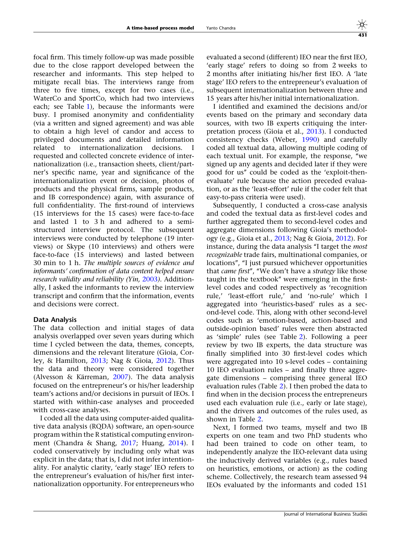focal firm. This timely follow-up was made possible due to the close rapport developed between the researcher and informants. This step helped to mitigate recall bias. The interviews range from three to five times, except for two cases (i.e., WaterCo and SportCo, which had two interviews each; see Table [1\)](#page-7-0), because the informants were busy. I promised anonymity and confidentiality (via a written and signed agreement) and was able to obtain a high level of candor and access to privileged documents and detailed information related to internationalization decisions. requested and collected concrete evidence of internationalization (i.e., transaction sheets, client/partner's specific name, year and significance of the internationalization event or decision, photos of products and the physical firms, sample products, and IB correspondence) again, with assurance of full confidentiality. The first-round of interviews (15 interviews for the 15 cases) were face-to-face and lasted 1 to 3 h and adhered to a semistructured interview protocol. The subsequent interviews were conducted by telephone (19 interviews) or Skype (10 interviews) and others were face-to-face (15 interviews) and lasted between 30 min to 1 h. The multiple sources of evidence and informants' confirmation of data content helped ensure research validity and reliability (Yin, [2003](#page-27-0)). Additionally, I asked the informants to review the interview transcript and confirm that the information, events and decisions were correct.

## Data Analysis

The data collection and initial stages of data analysis overlapped over seven years during which time I cycled between the data, themes, concepts, dimensions and the relevant literature (Gioia, Corley, & Hamilton, [2013;](#page-26-0) Nag & Gioia, [2012\)](#page-27-0). Thus the data and theory were considered together (Alvesson & Kärreman,  $2007$ ). The data analysis focused on the entrepreneur's or his/her leadership team's actions and/or decisions in pursuit of IEOs. I started with within-case analyses and proceeded with cross-case analyses.

I coded all the data using computer-aided qualitative data analysis (RQDA) software, an open-source program within the R statistical computing environment (Chandra & Shang, [2017](#page-26-0); Huang, [2014](#page-26-0)). I coded conservatively by including only what was explicit in the data; that is, I did not infer intentionality. For analytic clarity, 'early stage' IEO refers to the entrepreneur's evaluation of his/her first internationalization opportunity. For entrepreneurs who

evaluated a second (different) IEO near the first IEO, 'early stage' refers to doing so from 2 weeks to 2 months after initiating his/her first IEO. A 'late stage' IEO refers to the entrepreneur's evaluation of subsequent internationalization between three and 15 years after his/her initial internationalization.

I identified and examined the decisions and/or events based on the primary and secondary data sources, with two IB experts critiquing the interpretation process (Gioia et al., [2013](#page-26-0)). I conducted consistency checks (Weber, [1990](#page-27-0)) and carefully coded all textual data, allowing multiple coding of each textual unit. For example, the response, ''we signed up any agents and decided later if they were good for us'' could be coded as the 'exploit-thenevaluate' rule because the action preceded evaluation, or as the 'least-effort' rule if the coder felt that easy-to-pass criteria were used).

Subsequently, I conducted a cross-case analysis and coded the textual data as first-level codes and further aggregated them to second-level codes and aggregate dimensions following Gioia's methodology (e.g., Gioia et al., [2013;](#page-26-0) Nag & Gioia, [2012\)](#page-27-0). For instance, during the data analysis ''I target the most recognizable trade fairs, multinational companies, or locations", "I just pursued whichever opportunities that *came first"*, "We don't have a *strategy* like those taught in the textbook'' were emerging in the firstlevel codes and coded respectively as 'recognition rule,' 'least-effort rule,' and 'no-rule' which I aggregated into 'heuristics-based' rules as a second-level code. This, along with other second-level codes such as 'emotion-based, action-based and outside-opinion based' rules were then abstracted as 'simple' rules (see Table [2](#page-9-0)). Following a peer review by two IB experts, the data structure was finally simplified into 30 first-level codes which were aggregated into 10 s-level codes – containing 10 IEO evaluation rules – and finally three aggregate dimensions – comprising three general IEO evaluation rules (Table [2](#page-9-0)). I then probed the data to find when in the decision process the entrepreneurs used each evaluation rule (i.e., early or late stage), and the drivers and outcomes of the rules used, as shown in Table [2](#page-9-0).

Next, I formed two teams, myself and two IB experts on one team and two PhD students who had been trained to code on other team, to independently analyze the IEO-relevant data using the inductively derived variables (e.g., rules based on heuristics, emotions, or action) as the coding scheme. Collectively, the research team assessed 94 IEOs evaluated by the informants and coded 151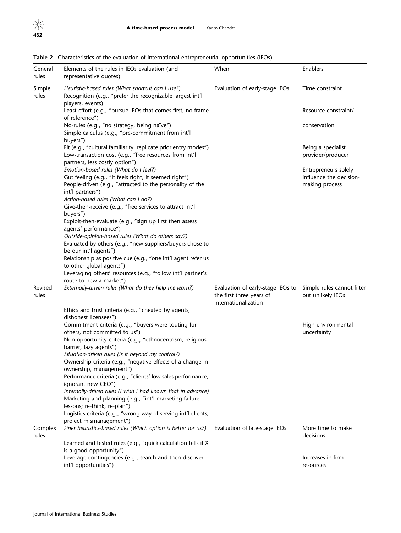| General<br>rules | Elements of the rules in IEOs evaluation (and<br>representative quotes)                                                                                                                                                                                                            | When                                                                                  | Enablers                                                          |
|------------------|------------------------------------------------------------------------------------------------------------------------------------------------------------------------------------------------------------------------------------------------------------------------------------|---------------------------------------------------------------------------------------|-------------------------------------------------------------------|
| Simple<br>rules  | Heuristic-based rules (What shortcut can I use?)<br>Recognition (e.g., "prefer the recognizable largest int'l<br>players, events)                                                                                                                                                  | Evaluation of early-stage IEOs                                                        | Time constraint                                                   |
|                  | Least-effort (e.g., "pursue IEOs that comes first, no frame<br>of reference")                                                                                                                                                                                                      |                                                                                       | Resource constraint/                                              |
|                  | No-rules (e.g., "no strategy, being naïve")<br>Simple calculus (e.g., "pre-commitment from int'l<br>buyers")                                                                                                                                                                       |                                                                                       | conservation                                                      |
|                  | Fit (e.g., "cultural familiarity, replicate prior entry modes")<br>Low-transaction cost (e.g., "free resources from int'l<br>partners, less costly option")                                                                                                                        |                                                                                       | Being a specialist<br>provider/producer                           |
|                  | Emotion-based rules (What do I feel?)<br>Gut feeling (e.g., "it feels right, it seemed right")<br>People-driven (e.g., "attracted to the personality of the<br>int'l partners")<br>Action-based rules (What can I do?)<br>Give-then-receive (e.g., "free services to attract int'l |                                                                                       | Entrepreneurs solely<br>influence the decision-<br>making process |
|                  | buyers")<br>Exploit-then-evaluate (e.g., "sign up first then assess<br>agents' performance")                                                                                                                                                                                       |                                                                                       |                                                                   |
|                  | Outside-opinion-based rules (What do others say?)<br>Evaluated by others (e.g., "new suppliers/buyers chose to<br>be our int'l agents")<br>Relationship as positive cue (e.g., "one int'l agent refer us                                                                           |                                                                                       |                                                                   |
|                  | to other global agents")<br>Leveraging others' resources (e.g., "follow int'l partner's<br>route to new a market")                                                                                                                                                                 |                                                                                       |                                                                   |
| Revised<br>rules | Externally-driven rules (What do they help me learn?)                                                                                                                                                                                                                              | Evaluation of early-stage IEOs to<br>the first three years of<br>internationalization | Simple rules cannot filter<br>out unlikely IEOs                   |
|                  | Ethics and trust criteria (e.g., "cheated by agents,<br>dishonest licensees")                                                                                                                                                                                                      |                                                                                       |                                                                   |
|                  | Commitment criteria (e.g., "buyers were touting for<br>others, not committed to us")                                                                                                                                                                                               |                                                                                       | High environmental<br>uncertainty                                 |
|                  | Non-opportunity criteria (e.g., "ethnocentrism, religious<br>barrier, lazy agents")<br>Situation-driven rules (Is it beyond my control?)<br>Ownership criteria (e.g., "negative effects of a change in                                                                             |                                                                                       |                                                                   |
|                  | ownership, management")<br>Performance criteria (e.g., "clients' low sales performance,                                                                                                                                                                                            |                                                                                       |                                                                   |
|                  | ignorant new CEO")<br>Internally-driven rules (I wish I had known that in advance)<br>Marketing and planning (e.g., "int'l marketing failure<br>lessons; re-think, re-plan")                                                                                                       |                                                                                       |                                                                   |
|                  | Logistics criteria (e.g., "wrong way of serving int'l clients;<br>project mismanagement")                                                                                                                                                                                          |                                                                                       |                                                                   |
| Complex<br>rules | Finer heuristics-based rules (Which option is better for us?)                                                                                                                                                                                                                      | Evaluation of late-stage IEOs                                                         | More time to make<br>decisions                                    |
|                  | Learned and tested rules (e.g., "quick calculation tells if X<br>is a good opportunity")                                                                                                                                                                                           |                                                                                       |                                                                   |
|                  | Leverage contingencies (e.g., search and then discover<br>int'l opportunities")                                                                                                                                                                                                    |                                                                                       | Increases in firm<br>resources                                    |

<span id="page-9-0"></span>Table 2 Characteristics of the evaluation of international entrepreneurial opportunities (IEOs)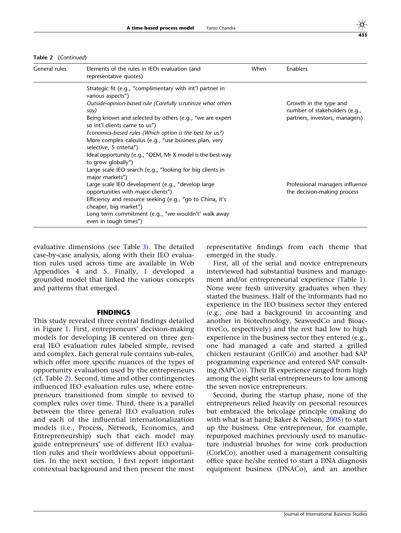Table 2 (Continued)

| General rules | Elements of the rules in IEOs evaluation (and<br>representative quotes)                                                                                                                                                                                                                                                                                                                              | When | Enablers                                                                                  |
|---------------|------------------------------------------------------------------------------------------------------------------------------------------------------------------------------------------------------------------------------------------------------------------------------------------------------------------------------------------------------------------------------------------------------|------|-------------------------------------------------------------------------------------------|
|               | Strategic fit (e.g., "complimentary with int'l partner in<br>various aspects")                                                                                                                                                                                                                                                                                                                       |      |                                                                                           |
|               | Outside-opinion-based rule (Carefully scrutinize what others<br>say)<br>Being known and selected by others (e.g., "we are expert<br>so int'l clients came to us")<br>Economics-based rules (Which option is the best for us?)<br>More complex calculus (e.g., "use business plan, very<br>selective, 5 criteria")<br>Ideal opportunity (e.g., "OEM, Mr X model is the best way<br>to grow globally") |      | Growth in the type and<br>number of stakeholders (e.g.,<br>partners, investors, managers) |
|               | Large scale IEO search (e.g., "looking for big clients in<br>major markets")<br>Large scale IEO development (e.g., "develop large<br>opportunities with major clients")<br>Efficiency and resource seeking (e.g., "go to China, it's<br>cheaper, big market")<br>Long term commitment (e.g., "we wouldn't' walk away<br>even in tough times")                                                        |      | Professional managers influence<br>the decision-making process                            |

evaluative dimensions (see Table [3](#page-11-0)). The detailed case-by-case analysis, along with their IEO evaluation rules used across time are available in Web Appendices 4 and 5. Finally, I developed a grounded model that linked the various concepts and patterns that emerged.

### FINDINGS

This study revealed three central findings detailed in Figure [1](#page-12-0). First, entrepreneurs' decision-making models for developing IB centered on three general IEO evaluation rules labeled simple, revised and complex. Each general rule contains sub-rules, which offer more specific nuances of the types of opportunity evaluation used by the entrepreneurs (cf. Table [2\)](#page-9-0). Second, time and other contingencies influenced IEO evaluation rules use, where entrepreneurs transitioned from simple to revised to complex rules over time. Third, there is a parallel between the three general IEO evaluation rules and each of the influential internationalization models (i.e., Process, Network, Economics, and Entrepreneurship) such that each model may guide entrepreneurs' use of different IEO evaluation rules and their worldviews about opportunities. In the next section, I first report important contextual background and then present the most representative findings from each theme that emerged in the study.

First, all of the serial and novice entrepreneurs interviewed had substantial business and management and/or entrepreneurial experience (Table [1](#page-7-0)). None were fresh university graduates when they started the business. Half of the informants had no experience in the IEO business sector they entered (e.g., one had a background in accounting and another in biotechnology, SeaweedCo and BioactiveCo, respectively) and the rest had low to high experience in the business sector they entered (e.g., one had managed a cafe and started a grilled chicken restaurant (GrillCo) and another had SAP programming experience and entered SAP consulting (SAPCo)). Their IB experience ranged from high among the eight serial entrepreneurs to low among the seven novice entrepreneurs.

Second, during the startup phase, none of the entrepreneurs relied heavily on personal resources but embraced the bricolage principle (making do with what is at hand; Baker & Nelson, [2005\)](#page-26-0) to start up the business. One entrepreneur, for example, repurposed machines previously used to manufacture industrial brushes for wine cork production (CorkCo), another used a management consulting office space he/she rented to start a DNA diagnosis equipment business (DNACo), and an another

433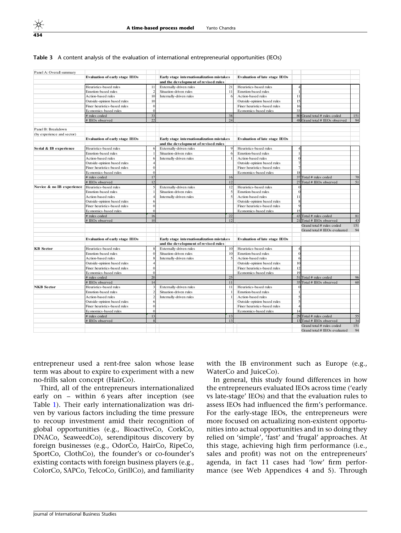#### <span id="page-11-0"></span>Table 3 A content analysis of the evaluation of international entrepreneurial opportunities (IEOs)

| Panel A: Overall summary   |                                                   |                |                                                                                   |             |                                      |          |                                                      |          |
|----------------------------|---------------------------------------------------|----------------|-----------------------------------------------------------------------------------|-------------|--------------------------------------|----------|------------------------------------------------------|----------|
|                            | <b>Evaluation of early stage IEOs</b>             |                | Early stage internationalization mistakes                                         |             | <b>Evaluation of late stage IEOs</b> |          |                                                      |          |
|                            |                                                   |                | and the development of revised rules                                              |             |                                      |          |                                                      |          |
|                            | Heuristics-based rules                            | 11             | Externally-driven rules                                                           | 21          | Heuristics-based rules               |          |                                                      |          |
|                            | Emotion-based rules                               | $\mathfrak{D}$ | Situation-driven rules                                                            | 11          | Emotion-based rules                  |          |                                                      |          |
|                            | Action-based rules                                | 10             | Internally-driven rules                                                           | 6           | Action-based rules                   | 11       |                                                      |          |
|                            | Outside-opinion based rules                       | 10             |                                                                                   |             | Outside-opinion based rules          | 15       |                                                      |          |
|                            | Finer heuristics-based rules                      | $\Omega$       |                                                                                   |             | Finer heuristics-based rules         | 16       |                                                      |          |
|                            | Economics-based rules                             | $\Omega$       |                                                                                   |             | Economics-based rules                | 33       |                                                      |          |
|                            | # rules coded                                     | 33             |                                                                                   | 38          |                                      |          | 80 Grand total # rules coded                         | 151      |
|                            | # IEOs observed                                   | $\mathfrak{D}$ |                                                                                   | 24          |                                      |          | 48 Grand total # IEOs observed                       | 94       |
| Panel B: Breakdown         |                                                   |                |                                                                                   |             |                                      |          |                                                      |          |
| (by experience and sector) |                                                   |                |                                                                                   |             |                                      |          |                                                      |          |
|                            | <b>Evaluation of early stage IEOs</b>             |                | Early stage internationalization mistakes                                         |             | <b>Evaluation of late stage IEOs</b> |          |                                                      |          |
|                            |                                                   |                | and the development of revised rules                                              |             |                                      |          |                                                      |          |
| Serial & IB experience     | Heuristics-based rules                            |                | Externally-driven rules                                                           | $\mathbf Q$ | Heuristics-based rules               |          |                                                      |          |
|                            | Emotion-based rules                               |                | Situation-driven rules                                                            | 6           | Emotion-based rules                  |          |                                                      |          |
|                            | Action-based rules                                |                | Internally-driven rules                                                           |             | Action-based rules                   |          |                                                      |          |
|                            | Outside-opinion based rules                       |                |                                                                                   |             | Outside-opinion based rules          |          |                                                      |          |
|                            | Finer heuristics-based rules                      | $\Omega$       |                                                                                   |             | Finer heuristics-based rules         |          |                                                      |          |
|                            | Economics-based rules                             |                |                                                                                   |             | Economics-based rules                | 18       |                                                      |          |
|                            | # rules coded                                     | 17             |                                                                                   | 16          |                                      |          | 37 Total # rules coded                               | 70       |
|                            | # IEOs observed                                   | 12.            |                                                                                   | 12          |                                      |          | 27 Total # IEOs observed                             | 51       |
| Novice & no IB experience  | Heuristics-based rules                            |                | Externally-driven rules                                                           | 12          | Heuristics-based rules               | $\Omega$ |                                                      |          |
|                            | Emotion-based rules                               |                | Situation-driven rules                                                            |             | Emotion-based rules                  | $\Omega$ |                                                      |          |
|                            | Action-based rules                                |                | Internally-driven rules                                                           |             | Action-based rules                   | 11       |                                                      |          |
|                            | Outside-opinion based rules                       | 6              |                                                                                   |             | Outside-opinion based rules          | 8        |                                                      |          |
|                            | Finer heuristics-based rules                      | $\Omega$       |                                                                                   |             | Finer heuristics-based rules         | $\alpha$ |                                                      |          |
|                            | Economics-based rules                             |                |                                                                                   |             | Economics-based rules                | 15       |                                                      |          |
|                            | # rules coded                                     | 16             |                                                                                   | 22          |                                      |          | 43 Total # rules coded                               | 81       |
|                            | # IEOs observed                                   | 10             |                                                                                   |             |                                      |          | $21$ Total # IEOs observed                           | 43       |
|                            |                                                   |                |                                                                                   |             |                                      |          | Grand total # rules coded                            | 151      |
|                            |                                                   |                |                                                                                   |             |                                      |          | Grand total # IEOs evaluated                         | 94       |
|                            |                                                   |                |                                                                                   |             |                                      |          |                                                      |          |
|                            | <b>Evaluation of early stage IEOs</b>             |                | Early stage internationalization mistakes<br>and the development of revised rules |             | <b>Evaluation of late stage IEOs</b> |          |                                                      |          |
| <b>KB</b> Sector           | Heuristics-based rules                            |                | Externally-driven rules                                                           | 10          | Heuristics-based rules               |          |                                                      |          |
|                            | Emotion-based rules                               |                | Situation-driven rules                                                            | 10          | Emotion-based rules                  | $\Omega$ |                                                      |          |
|                            | Action-based rules                                |                | Internally-driven rules                                                           |             | Action-based rules                   |          |                                                      |          |
|                            | Outside-opinion based rules                       |                |                                                                                   |             | Outside-opinion based rules          | 10       |                                                      |          |
|                            | Finer heuristics-based rules                      |                |                                                                                   |             | Finer heuristics-based rules         | 12       |                                                      |          |
|                            | Economics-based rules                             | $\Omega$       |                                                                                   |             | Economics-based rules                | 19       |                                                      |          |
|                            | # rules coded                                     | 20             |                                                                                   | 25          |                                      | 51       | Total # rules coded                                  | 96       |
|                            | # IEOs observed                                   | 14             |                                                                                   | 11          |                                      |          | 35 Total # IEOs observed                             | 60       |
| <b>NKB</b> Sector          | Heuristics-based rules                            | 3              | Externally-driven rules                                                           | 11          | Heuristics-based rules               |          |                                                      |          |
|                            |                                                   |                |                                                                                   |             |                                      |          |                                                      |          |
|                            | Emotion-based rules                               |                | Situation-driven rules                                                            |             | Emotion-based rules                  |          |                                                      |          |
|                            | Action-based rules<br>Outside-opinion based rules |                | Internally-driven rules                                                           |             | Action-based rules                   |          |                                                      |          |
|                            |                                                   |                |                                                                                   |             | Outside-opinion based rules          |          |                                                      |          |
|                            | Finer heuristics-based rules                      |                |                                                                                   |             | Finer heuristics-based rules         |          |                                                      |          |
|                            | Economics-based rules                             | 13             |                                                                                   |             | Economics-based rules                | 14       |                                                      |          |
|                            | # rules coded<br># IEOs observed                  |                |                                                                                   | 13<br>13    |                                      |          | 29 Total # rules coded<br>$13$ Total # IEOs observed | 55<br>34 |
|                            |                                                   |                |                                                                                   |             |                                      |          | Grand total # rules coded                            | 151      |
|                            |                                                   |                |                                                                                   |             |                                      |          | Grand total # IEOs evaluated                         | 94       |
|                            |                                                   |                |                                                                                   |             |                                      |          |                                                      |          |

entrepreneur used a rent-free salon whose lease term was about to expire to experiment with a new no-frills salon concept (HairCo).

Third, all of the entrepreneurs internationalized early on – within 6 years after inception (see Table [1\)](#page-7-0). Their early internationalization was driven by various factors including the time pressure to recoup investment amid their recognition of global opportunities (e.g., BioactiveCo, CorkCo, DNACo, SeaweedCo), serendipitous discovery by foreign businesses (e.g., OdorCo, HairCo, RipeCo, SportCo, ClothCo), the founder's or co-founder's existing contacts with foreign business players (e.g., ColorCo, SAPCo, TelcoCo, GrillCo), and familiarity with the IB environment such as Europe (e.g., WaterCo and JuiceCo).

In general, this study found differences in how the entrepreneurs evaluated IEOs across time ('early vs late-stage' IEOs) and that the evaluation rules to assess IEOs had influenced the firm's performance. For the early-stage IEOs, the entrepreneurs were more focused on actualizing non-existent opportunities into actual opportunities and in so doing they relied on 'simple', 'fast' and 'frugal' approaches. At this stage, achieving high firm performance (i.e., sales and profit) was not on the entrepreneurs' agenda, in fact 11 cases had 'low' firm performance (see Web Appendices 4 and 5). Through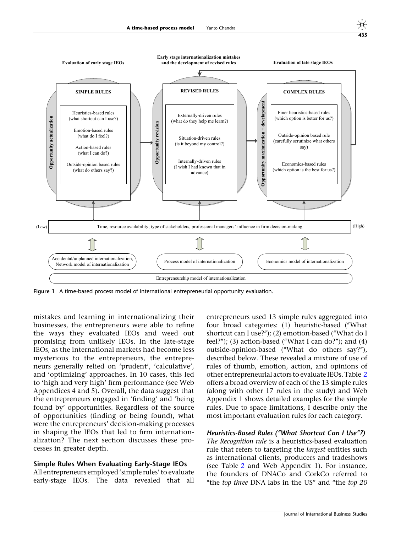<span id="page-12-0"></span>



Figure 1 A time-based process model of international entrepreneurial opportunity evaluation.

mistakes and learning in internationalizing their businesses, the entrepreneurs were able to refine the ways they evaluated IEOs and weed out promising from unlikely IEOs. In the late-stage IEOs, as the international markets had become less mysterious to the entrepreneurs, the entrepreneurs generally relied on 'prudent', 'calculative', and 'optimizing' approaches. In 10 cases, this led to 'high and very high' firm performance (see Web Appendices 4 and 5). Overall, the data suggest that the entrepreneurs engaged in 'finding' and 'being found by' opportunities. Regardless of the source of opportunities (finding or being found), what were the entrepreneurs' decision-making processes in shaping the IEOs that led to firm internationalization? The next section discusses these processes in greater depth.

**Opportunity actualization**

Opportunity actualization

## Simple Rules When Evaluating Early-Stage IEOs

All entrepreneurs employed 'simple rules' to evaluate early-stage IEOs. The data revealed that all

entrepreneurs used 13 simple rules aggregated into four broad categories: (1) heuristic-based (''What shortcut can I use?"); (2) emotion-based ("What do I feel?"); (3) action-based ("What I can do?"); and (4) outside-opinion-based (''What do others say?''), described below. These revealed a mixture of use of rules of thumb, emotion, action, and opinions of other entrepreneurial actors to evaluate IEOs. Table [2](#page-9-0) offers a broad overview of each of the 13 simple rules (along with other 17 rules in the study) and Web Appendix 1 shows detailed examples for the simple rules. Due to space limitations, I describe only the most important evaluation rules for each category.

Heuristics-Based Rules (''What Shortcut Can I Use''?) The Recognition rule is a heuristics-based evaluation rule that refers to targeting the *largest* entities such as international clients, producers and tradeshows (see Table [2](#page-9-0) and Web Appendix 1). For instance, the founders of DNACo and CorkCo referred to "the top three DNA labs in the US" and "the top 20

435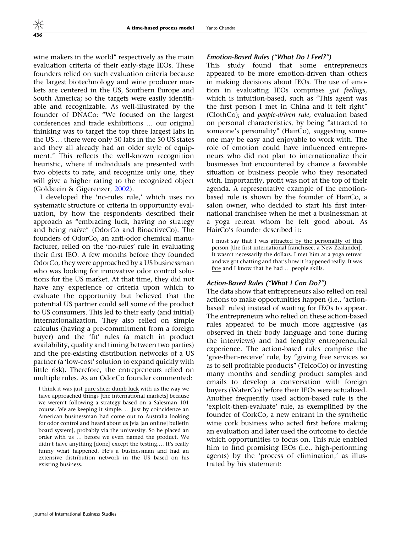wine makers in the world'' respectively as the main evaluation criteria of their early-stage IEOs. These founders relied on such evaluation criteria because the largest biotechnology and wine producer markets are centered in the US, Southern Europe and South America; so the targets were easily identifiable and recognizable. As well-illustrated by the founder of DNACo: ''We focused on the largest conferences and trade exhibitions … our original thinking was to target the top three largest labs in the US … there were only 50 labs in the 50 US states and they all already had an older style of equipment.'' This reflects the well-known recognition heuristic, where if individuals are presented with two objects to rate, and recognize only one, they will give a higher rating to the recognized object (Goldstein & Gigerenzer, [2002\)](#page-26-0).

I developed the 'no-rules rule,' which uses no systematic structure or criteria in opportunity evaluation, by how the respondents described their approach as ''embracing luck, having no strategy and being naïve" (OdorCo and BioactiveCo). The founders of OdorCo, an anti-odor chemical manufacturer, relied on the 'no-rules' rule in evaluating their first IEO. A few months before they founded OdorCo, they were approached by a US businessman who was looking for innovative odor control solutions for the US market. At that time, they did not have any experience or criteria upon which to evaluate the opportunity but believed that the potential US partner could sell some of the product to US consumers. This led to their early (and initial) internationalization. They also relied on simple calculus (having a pre-commitment from a foreign buyer) and the 'fit' rules (a match in product availability, quality and timing between two parties) and the pre-existing distribution networks of a US partner (a 'low-cost' solution to expand quickly with little risk). Therefore, the entrepreneurs relied on multiple rules. As an OdorCo founder commented:

I think it was just pure sheer dumb luck with us the way we have approached things [the international markets] because we weren't following a strategy based on a Salesman 101 course. We are keeping it simple. … Just by coincidence an American businessman had come out to Australia looking for odor control and heard about us [via [an online] bulletin board system], probably via the university. So he placed an order with us … before we even named the product. We didn't have anything [done] except the testing…. It's really funny what happened. He's a businessman and had an extensive distribution network in the US based on his existing business.

#### Emotion-Based Rules (''What Do I Feel?'')

This study found that some entrepreneurs appeared to be more emotion-driven than others in making decisions about IEOs. The use of emotion in evaluating IEOs comprises gut feelings, which is intuition-based, such as "This agent was the first person I met in China and it felt right'' (ClothCo); and people-driven rule, evaluation based on personal characteristics, by being ''attracted to someone's personality'' (HairCo), suggesting someone may be easy and enjoyable to work with. The role of emotion could have influenced entrepreneurs who did not plan to internationalize their businesses but encountered by chance a favorable situation or business people who they resonated with. Importantly, profit was not at the top of their agenda. A representative example of the emotionbased rule is shown by the founder of HairCo, a salon owner, who decided to start his first international franchisee when he met a businessman at a yoga retreat whom he felt good about. As HairCo's founder described it:

I must say that I was attracted by the personality of this person [the first international franchisee, a New Zealander]. It wasn't necessarily the dollars. I met him at a yoga retreat and we got chatting and that's how it happened really. It was fate and I know that he had … people skills.

## Action-Based Rules (''What I Can Do?'')

The data show that entrepreneurs also relied on real actions to make opportunities happen (i.e., 'actionbased' rules) instead of waiting for IEOs to appear. The entrepreneurs who relied on these action-based rules appeared to be much more aggressive (as observed in their body language and tone during the interviews) and had lengthy entrepreneurial experience. The action-based rules comprise the 'give-then-receive' rule, by "giving free services so as to sell profitable products'' (TelcoCo) or investing many months and sending product samples and emails to develop a conversation with foreign buyers (WaterCo) before their IEOs were actualized. Another frequently used action-based rule is the 'exploit-then-evaluate' rule, as exemplified by the founder of CorkCo, a new entrant in the synthetic wine cork business who acted first before making an evaluation and later used the outcome to decide which opportunities to focus on. This rule enabled him to find promising IEOs (i.e., high-performing agents) by the 'process of elimination,' as illustrated by his statement: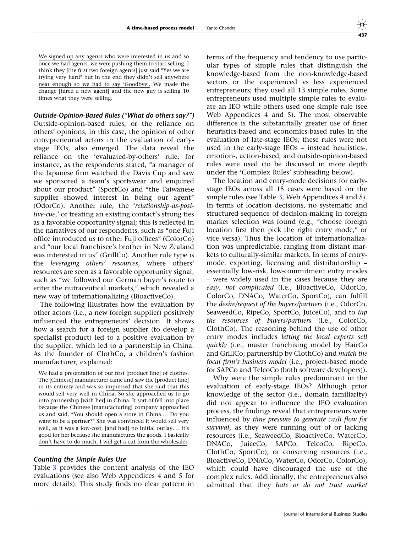We signed up any agents who were interested in us and so once we had agents, we were pushing them to start selling. I think they [the first two foreign agents] just said "Yes we are trying very hard'' but in the end they didn't sell anywhere near enough so we had to say 'Goodbye'. We made the change [hired a new agent] and the new guy is selling 10 times what they were selling.

Outside-Opinion-Based Rules (''What do others say?'') Outside-opinion-based rules, or the reliance on others' opinions, in this case, the opinion of other entrepreneurial actors in the evaluation of earlystage IEOs, also emerged. The data reveal the reliance on the 'evaluated-by-others' rule; for instance, as the respondents stated, "a manager of the Japanese firm watched the Davis Cup and saw we sponsored a team's sportswear and enquired about our product'' (SportCo) and ''the Taiwanese supplier showed interest in being our agent'' (OdorCo). Another rule, the 'relationship-as-positive-cue,' or treating an existing contact's strong ties as a favorable opportunity signal; this is reflected in the narratives of our respondents, such as ''one Fuji office introduced us to other Fuji offices'' (ColorCo) and ''our local franchisee's brother in New Zealand was interested in us'' (GrillCo). Another rule type is the leveraging others' resources, where others' resources are seen as a favorable opportunity signal, such as ''we followed our German buyer's route to enter the nutraceutical markets," which revealed a new way of internationalizing (BioactiveCo).

The following illustrates how the evaluation by other actors (i.e., a new foreign supplier) positively influenced the entrepreneurs' decision. It shows how a search for a foreign supplier (to develop a specialist product) led to a positive evaluation by the supplier, which led to a partnership in China. As the founder of ClothCo, a children's fashion manufacturer, explained:

We had a presentation of our first [product line] of clothes. The [Chinese] manufacturer came and saw the [product line] in its entirety and was so impressed that she said that this would sell very well in China. So she approached us to go into partnership [with her] in China. It sort of fell into place because the Chinese [manufacturing] company approached us and said, ''You should open a store in China.… Do you want to be a partner?'' She was convinced it would sell very well, as it was a low-cost, [and had] no initial outlay.… It's good for her because she manufactures the goods. I basically don't have to do much, I will get a cut from the wholesaler.

### Counting the Simple Rules Use

Table [3](#page-11-0) provides the content analysis of the IEO evaluations (see also Web Appendices 4 and 5 for more details). This study finds no clear pattern in

terms of the frequency and tendency to use particular types of simple rules that distinguish the knowledge-based from the non-knowledge-based sectors or the experienced vs less experienced entrepreneurs; they used all 13 simple rules. Some entrepreneurs used multiple simple rules to evaluate an IEO while others used one simple rule (see Web Appendices 4 and 5). The most observable difference is the substantially greater use of finer heuristics-based and economics-based rules in the evaluation of late-stage IEOs; these rules were not used in the early-stage IEOs – instead heuristics-, emotion-, action-based, and outside-opinion-based rules were used (to be discussed in more depth under the 'Complex Rules' subheading below).

The location and entry-mode decisions for earlystage IEOs across all 15 cases were based on the simple rules (see Table [3](#page-11-0), Web Appendices 4 and 5). In terms of location decisions, no systematic and structured sequence of decision-making in foreign market selection was found (e.g., "choose foreign location first then pick the right entry mode," or vice versa). Thus the location of internationalization was unpredictable, ranging from distant markets to culturally-similar markets. In terms of entrymode, exporting, licensing and distributorship – essentially low-risk, low-commitment entry modes – were widely used in the cases because they are easy, not complicated (i.e., BioactiveCo, OdorCo, ColorCo, DNACo, WaterCo, SportCo), can fulfill the desire/request of the buyers/partners (i.e., OdorCo, SeaweedCo, RipeCo, SportCo, JuiceCo), and to tap the resources of buyers/partners (i.e., ColorCo, ClothCo). The reasoning behind the use of other entry modes includes letting the local experts sell quickly (i.e., master franchising model by HairCo and GrillCo; partnership by ClothCo) and match the focal firm's business model (i.e., project-based mode for SAPCo and TelcoCo (both software developers)).

Why were the simple rules predominant in the evaluation of early-stage IEOs? Although prior knowledge of the sector (i.e., domain familiarity) did not appear to influence the IEO evaluation process, the findings reveal that entrepreneurs were influenced by time pressure to generate cash flow for survival, as they were running out of or lacking resources (i.e., SeaweedCo, BioactiveCo, WaterCo, DNACo, JuiceCo, SAPCo, TelcoCo, RipeCo, ClothCo, SportCo), or conserving resources (i.e., BioactiveCo, DNACo, WaterCo, OdorCo, ColorCo), which could have discouraged the use of the complex rules. Additionally, the entrepreneurs also admitted that they hate or do not trust market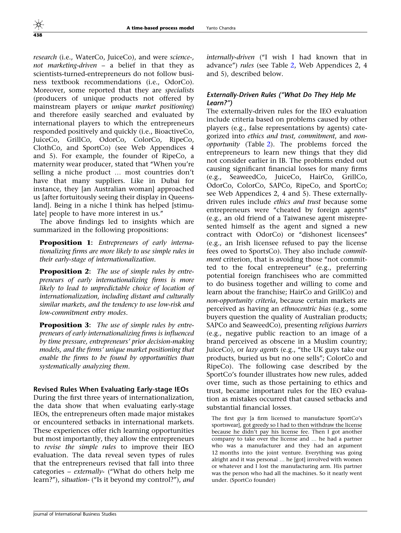research (i.e., WaterCo, JuiceCo), and were science-, not marketing-driven – a belief in that they as scientists-turned-entrepreneurs do not follow business textbook recommendations (i.e., OdorCo). Moreover, some reported that they are specialists (producers of unique products not offered by mainstream players or unique market positioning) and therefore easily searched and evaluated by international players to which the entrepreneurs responded positively and quickly (i.e., BioactiveCo, JuiceCo, GrillCo, OdorCo, ColorCo, RipeCo, ClothCo, and SportCo) (see Web Appendices 4 and 5). For example, the founder of RipeCo, a maternity wear producer, stated that ''When you're selling a niche product … most countries don't have that many suppliers. Like in Dubai for instance, they [an Australian woman] approached us [after fortuitously seeing their display in Queensland]. Being in a niche I think has helped [stimulate] people to have more interest in us.''

The above findings led to insights which are summarized in the following propositions:

Proposition 1: Entrepreneurs of early internationalizing firms are more likely to use simple rules in their early-stage of internationalization.

**Proposition 2:** The use of simple rules by entrepreneurs of early internationalizing firms is more likely to lead to unpredictable choice of location of internationalization, including distant and culturally similar markets, and the tendency to use low-risk and low-commitment entry modes.

**Proposition 3:** The use of simple rules by entrepreneurs of early internationalizing firms is influenced by time pressure, entrepreneurs' prior decision-making models, and the firms' unique market positioning that enable the firms to be found by opportunities than systematically analyzing them.

### Revised Rules When Evaluating Early-stage IEOs

During the first three years of internationalization, the data show that when evaluating early-stage IEOs, the entrepreneurs often made major mistakes or encountered setbacks in international markets. These experiences offer rich learning opportunities but most importantly, they allow the entrepreneurs to revise the simple rules to improve their IEO evaluation. The data reveal seven types of rules that the entrepreneurs revised that fall into three categories – externally- (''What do others help me learn?''), situation- (''Is it beyond my control?''), and internally-driven ("I wish I had known that in advance'') rules (see Table [2](#page-9-0), Web Appendices 2, 4 and 5), described below.

# Externally-Driven Rules (''What Do They Help Me Learn?'')

The externally-driven rules for the IEO evaluation include criteria based on problems caused by other players (e.g., false representations by agents) categorized into ethics and trust, commitment, and nonopportunity (Table [2](#page-9-0)). The problems forced the entrepreneurs to learn new things that they did not consider earlier in IB. The problems ended out causing significant financial losses for many firms (e.g., SeaweedCo, JuiceCo, HairCo, GrillCo, OdorCo, ColorCo, SAPCo, RipeCo, and SportCo; see Web Appendices 2, 4 and 5). These externallydriven rules include ethics and trust because some entrepreneurs were "cheated by foreign agents" (e.g., an old friend of a Taiwanese agent misrepresented himself as the agent and signed a new contract with OdorCo) or ''dishonest licensees'' (e.g., an Irish licensee refused to pay the license fees owed to SportsCo). They also include commitment criterion, that is avoiding those "not committed to the focal entrepreneur'' (e.g., preferring potential foreign franchisees who are committed to do business together and willing to come and learn about the franchise; HairCo and GrillCo) and non-opportunity criteria, because certain markets are perceived as having an ethnocentric bias (e.g., some buyers question the quality of Australian products; SAPCo and SeaweedCo), presenting religious barriers (e.g., negative public reaction to an image of a brand perceived as obscene in a Muslim country; JuiceCo), or *lazy agents* (e.g., "the UK guys take our products, buried us but no one sells''; ColorCo and RipeCo). The following case described by the SportCo's founder illustrates how new rules, added over time, such as those pertaining to ethics and trust, became important rules for the IEO evaluation as mistakes occurred that caused setbacks and substantial financial losses.

The first guy [a firm licensed to manufacture SportCo's sportswear], got greedy so I had to then withdraw the license because he didn't pay his license fee. Then I got another company to take over the license and … he had a partner who was a manufacturer and they had an argument 12 months into the joint venture. Everything was going alright and it was personal … he [got] involved with women or whatever and I lost the manufacturing arm. His partner was the person who had all the machines. So it nearly went under. (SportCo founder)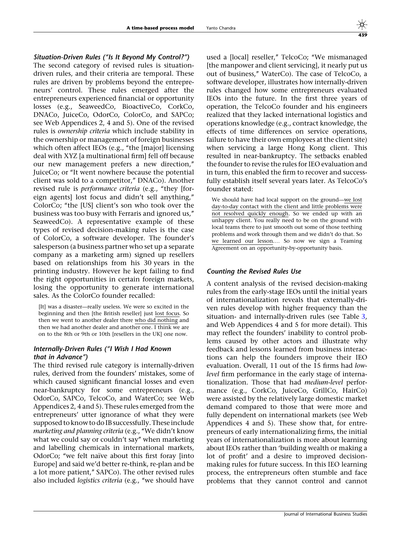## Situation-Driven Rules (''Is It Beyond My Control?'')

The second category of revised rules is situationdriven rules, and their criteria are temporal. These rules are driven by problems beyond the entrepreneurs' control. These rules emerged after the entrepreneurs experienced financial or opportunity losses (e.g., SeaweedCo, BioactiveCo, CorkCo, DNACo, JuiceCo, OdorCo, ColorCo, and SAPCo; see Web Appendices 2, 4 and 5). One of the revised rules is ownership criteria which include stability in the ownership or management of foreign businesses which often affect IEOs (e.g., "the [major] licensing deal with XYZ [a multinational firm] fell off because our new management prefers a new direction,'' JuiceCo; or ''It went nowhere because the potential client was sold to a competitor,'' DNACo). Another revised rule is *performance criteria* (e.g., "they [foreign agents] lost focus and didn't sell anything,'' ColorCo; ''the [US] client's son who took over the business was too busy with Ferraris and ignored us,'' SeaweedCo). A representative example of these types of revised decision-making rules is the case of ColorCo, a software developer. The founder's salesperson (a business partner who set up a separate company as a marketing arm) signed up resellers based on relationships from his 30 years in the printing industry. However he kept failing to find the right opportunities in certain foreign markets, losing the opportunity to generate international sales. As the ColorCo founder recalled:

[It] was a disaster—really useless. We were so excited in the beginning and then [the British reseller] just lost focus. So then we went to another dealer there who did nothing and then we had another dealer and another one. I think we are on to the 8th or 9th or 10th [resellers in the UK] one now.

## Internally-Driven Rules (''I Wish I Had Known that in Advance'')

The third revised rule category is internally-driven rules, derived from the founders' mistakes, some of which caused significant financial losses and even near-bankruptcy for some entrepreneurs (e.g., OdorCo, SAPCo, TelcoCo, and WaterCo; see Web Appendices 2, 4 and 5). These rules emerged from the entrepreneurs' utter ignorance of what they were supposed to know to do IB successfully. These include marketing and planning criteria (e.g., "We didn't know what we could say or couldn't say'' when marketing and labelling chemicals in international markets, OdorCo; "we felt naïve about this first foray [into Europe] and said we'd better re-think, re-plan and be a lot more patient,'' SAPCo). The other revised rules also included logistics criteria (e.g., "we should have

used a [local] reseller," TelcoCo; "We mismanaged [the manpower and client servicing], it nearly put us out of business,'' WaterCo). The case of TelcoCo, a software developer, illustrates how internally-driven rules changed how some entrepreneurs evaluated IEOs into the future. In the first three years of operation, the TelcoCo founder and his engineers realized that they lacked international logistics and operations knowledge (e.g., contract knowledge, the effects of time differences on service operations, failure to have their own employees at the client site) when servicing a large Hong Kong client. This resulted in near-bankruptcy. The setbacks enabled the founder to revise the rules for IEO evaluation and in turn, this enabled the firm to recover and successfully establish itself several years later. As TelcoCo's founder stated:

We should have had local support on the ground—we lost day-to-day contact with the client and little problems were not resolved quickly enough. So we ended up with an unhappy client. You really need to be on the ground with local teams there to just smooth out some of those teething problems and work through them and we didn't do that. So we learned our lesson.… So now we sign a Teaming Agreement on an opportunity-by-opportunity basis.

### Counting the Revised Rules Use

A content analysis of the revised decision-making rules from the early-stage IEOs until the initial years of internationalization reveals that externally-driven rules develop with higher frequency than the situation- and internally-driven rules (see Table [3,](#page-11-0) and Web Appendices 4 and 5 for more detail). This may reflect the founders' inability to control problems caused by other actors and illustrate why feedback and lessons learned from business interactions can help the founders improve their IEO evaluation. Overall, 11 out of the 15 firms had lowlevel firm performance in the early stage of internationalization. Those that had medium-level performance (e.g., CorkCo, JuiceCo, GrillCo, HairCo) were assisted by the relatively large domestic market demand compared to those that were more and fully dependent on international markets (see Web Appendices 4 and 5). These show that, for entrepreneurs of early internationalizing firms, the initial years of internationalization is more about learning about IEOs rather than 'building wealth or making a lot of profit' and a desire to improved decisionmaking rules for future success. In this IEO learning process, the entrepreneurs often stumble and face problems that they cannot control and cannot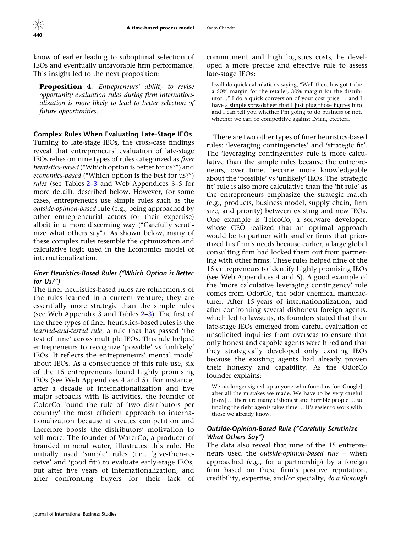know of earlier leading to suboptimal selection of IEOs and eventually unfavorable firm performance. This insight led to the next proposition:

**Proposition 4:** Entrepreneurs' ability to revise opportunity evaluation rules during firm internationalization is more likely to lead to better selection of future opportunities.

Complex Rules When Evaluating Late-Stage IEOs

Turning to late-stage IEOs, the cross-case findings reveal that entrepreneurs' evaluation of late-stage IEOs relies on nine types of rules categorized as finer heuristics-based ("Which option is better for us?") and economics-based (''Which option is the best for us?'') rules (see Tables [2–](#page-9-0)[3](#page-11-0) and Web Appendices 3–5 for more detail), described below. However, for some cases, entrepreneurs use simple rules such as the outside-opinion-based rule (e.g., being approached by other entrepreneurial actors for their expertise) albeit in a more discerning way ("Carefully scrutinize what others say''). As shown below, many of these complex rules resemble the optimization and calculative logic used in the Economics model of internationalization.

## Finer Heuristics-Based Rules (''Which Option is Better for Us?'')

The finer heuristics-based rules are refinements of the rules learned in a current venture; they are essentially more strategic than the simple rules (see Web Appendix 3 and Tables [2–](#page-9-0)[3\)](#page-11-0). The first of the three types of finer heuristics-based rules is the learned-and-tested rule, a rule that has passed 'the test of time' across multiple IEOs. This rule helped entrepreneurs to recognize 'possible' vs 'unlikely' IEOs. It reflects the entrepreneurs' mental model about IEOs. As a consequence of this rule use, six of the 15 entrepreneurs found highly promising IEOs (see Web Appendices 4 and 5). For instance, after a decade of internationalization and five major setbacks with IB activities, the founder of ColorCo found the rule of 'two distributors per country' the most efficient approach to internationalization because it creates competition and therefore boosts the distributors' motivation to sell more. The founder of WaterCo, a producer of branded mineral water, illustrates this rule. He initially used 'simple' rules (i.e., 'give-then-receive' and 'good fit') to evaluate early-stage IEOs, but after five years of internationalization, and after confronting buyers for their lack of commitment and high logistics costs, he developed a more precise and effective rule to assess late-stage IEOs:

I will do quick calculations saying, ''Well there has got to be a 50% margin for the retailer, 30% margin for the distributor…'' I do a quick conversion of your cost price … and I have a simple spreadsheet that I just plug those figures into and I can tell you whether I'm going to do business or not, whether we can be competitive against Evian, etcetera.

There are two other types of finer heuristics-based rules: 'leveraging contingencies' and 'strategic fit'. The 'leveraging contingencies' rule is more calculative than the simple rules because the entrepreneurs, over time, become more knowledgeable about the 'possible' vs 'unlikely' IEOs. The 'strategic fit' rule is also more calculative than the 'fit rule' as the entrepreneurs emphasize the strategic match (e.g., products, business model, supply chain, firm size, and priority) between existing and new IEOs. One example is TelcoCo, a software developer, whose CEO realized that an optimal approach would be to partner with smaller firms that prioritized his firm's needs because earlier, a large global consulting firm had locked them out from partnering with other firms. These rules helped nine of the 15 entrepreneurs to identify highly promising IEOs (see Web Appendices 4 and 5). A good example of the 'more calculative leveraging contingency' rule comes from OdorCo, the odor chemical manufacturer. After 15 years of internationalization, and after confronting several dishonest foreign agents, which led to lawsuits, its founders stated that their late-stage IEOs emerged from careful evaluation of unsolicited inquiries from overseas to ensure that only honest and capable agents were hired and that they strategically developed only existing IEOs because the existing agents had already proven their honesty and capability. As the OdorCo founder explains:

We no longer signed up anyone who found us [on Google] after all the mistakes we made. We have to be very careful [now] … there are many dishonest and horrible people … so finding the right agents takes time.… It's easier to work with those we already know.

# Outside-Opinion-Based Rule (''Carefully Scrutinize What Others Say'')

The data also reveal that nine of the 15 entrepreneurs used the outside-opinion-based rule – when approached (e.g., for a partnership) by a foreign firm based on these firm's positive reputation, credibility, expertise, and/or specialty, do a thorough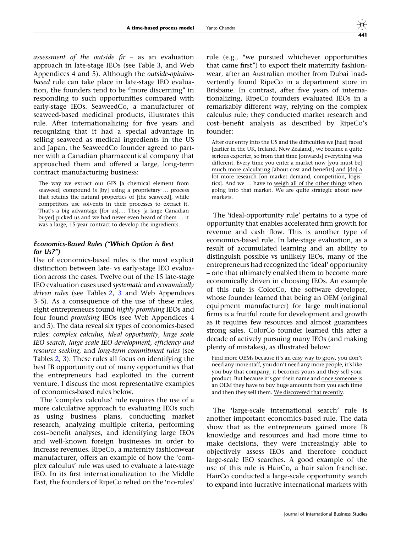assessment of the outside fir  $-$  as an evaluation approach in late-stage IEOs (see Table [3,](#page-11-0) and Web Appendices 4 and 5). Although the outside-opinionbased rule can take place in late-stage IEO evaluation, the founders tend to be ''more discerning'' in responding to such opportunities compared with early-stage IEOs. SeaweedCo, a manufacturer of seaweed-based medicinal products, illustrates this rule. After internationalizing for five years and recognizing that it had a special advantage in selling seaweed as medical ingredients in the US and Japan, the SeaweedCo founder agreed to partner with a Canadian pharmaceutical company that approached them and offered a large, long-term contract manufacturing business:

The way we extract our GFS [a chemical element from seaweed] compound is [by] using a proprietary … process that retains the natural properties of [the seaweed], while competitors use solvents in their processes to extract it. That's a big advantage [for us].… They [a large Canadian buyer] picked us and we had never even heard of them … it was a large, 15-year contract to develop the ingredients.

## Economics-Based Rules (''Which Option is Best for Us?'')

Use of economics-based rules is the most explicit distinction between late- vs early-stage IEO evaluation across the cases. Twelve out of the 15 late-stage IEO evaluation cases used systematic and economically driven rules (see Tables [2](#page-9-0), [3](#page-11-0) and Web Appendices 3–5). As a consequence of the use of these rules, eight entrepreneurs found highly promising IEOs and four found promising IEOs (see Web Appendices 4 and 5). The data reveal six types of economics-based rules: complex calculus, ideal opportunity, large scale IEO search, large scale IEO development, efficiency and resource seeking, and long-term commitment rules (see Tables [2](#page-9-0), [3\)](#page-11-0). These rules all focus on identifying the best IB opportunity out of many opportunities that the entrepreneurs had exploited in the current venture. I discuss the most representative examples of economics-based rules below.

The 'complex calculus' rule requires the use of a more calculative approach to evaluating IEOs such as using business plans, conducting market research, analyzing multiple criteria, performing cost–benefit analyses, and identifying large IEOs and well-known foreign businesses in order to increase revenues. RipeCo, a maternity fashionwear manufacturer, offers an example of how the 'complex calculus' rule was used to evaluate a late-stage IEO. In its first internationalization to the Middle East, the founders of RipeCo relied on the 'no-rules'

rule (e.g., ''we pursued whichever opportunities that came first'') to export their maternity fashionwear, after an Australian mother from Dubai inadvertently found RipeCo in a department store in Brisbane. In contrast, after five years of internationalizing, RipeCo founders evaluated IEOs in a remarkably different way, relying on the complex calculus rule; they conducted market research and cost–benefit analysis as described by RipeCo's founder:

After our entry into the US and the difficulties we [had] faced [earlier in the UK, Ireland, New Zealand], we became a quite serious exporter, so from that time [onwards] everything was different. Every time you enter a market now [you must be] much more calculating [about cost and benefits] and [do] a lot more research [on market demand, competition, logistics]. And we … have to weigh all of the other things when going into that market. We are quite strategic about new markets.

The 'ideal-opportunity rule' pertains to a type of opportunity that enables accelerated firm growth for revenue and cash flow. This is another type of economics-based rule. In late-stage evaluation, as a result of accumulated learning and an ability to distinguish possible vs unlikely IEOs, many of the entrepreneurs had recognized the 'ideal' opportunity – one that ultimately enabled them to become more economically driven in choosing IEOs. An example of this rule is ColorCo, the software developer, whose founder learned that being an OEM (original equipment manufacturer) for large multinational firms is a fruitful route for development and growth as it requires few resources and almost guarantees strong sales. ColorCo founder learned this after a decade of actively pursuing many IEOs (and making plenty of mistakes), as illustrated below:

Find more OEMs because it's an easy way to grow, you don't need any more staff, you don't need any more people, it's like you buy that company, it becomes yours and they sell your product. But because it's got their name and once someone is an OEM they have to buy huge amounts from you each time and then they sell them. We discovered that recently.

The 'large-scale international search' rule is another important economics-based rule. The data show that as the entrepreneurs gained more IB knowledge and resources and had more time to make decisions, they were increasingly able to objectively assess IEOs and therefore conduct large-scale IEO searches. A good example of the use of this rule is HairCo, a hair salon franchise. HairCo conducted a large-scale opportunity search to expand into lucrative international markets with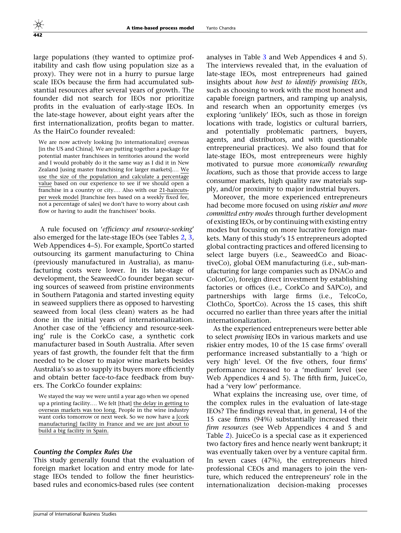large populations (they wanted to optimize profitability and cash flow using population size as a proxy). They were not in a hurry to pursue large scale IEOs because the firm had accumulated substantial resources after several years of growth. The founder did not search for IEOs nor prioritize profits in the evaluation of early-stage IEOs. In the late-stage however, about eight years after the first internationalization, profits began to matter. As the HairCo founder revealed:

We are now actively looking [to internationalize] overseas [in the US and China]. We are putting together a package for potential master franchisees in territories around the world and I would probably do it the same way as I did it in New Zealand [using master franchising for larger markets].… We use the size of the population and calculate a percentage value based on our experience to see if we should open a franchise in a country or city.… Also with our 21-haircutsper week model [franchise fees based on a weekly fixed fee, not a percentage of sales] we don't have to worry about cash flow or having to audit the franchisees' books.

A rule focused on 'efficiency and resource-seeking' also emerged for the late-stage IEOs (see Tables [2](#page-9-0), [3,](#page-11-0) Web Appendices 4–5). For example, SportCo started outsourcing its garment manufacturing to China (previously manufactured in Australia), as manufacturing costs were lower. In its late-stage of development, the SeaweedCo founder began securing sources of seaweed from pristine environments in Southern Patagonia and started investing equity in seaweed suppliers there as opposed to harvesting seaweed from local (less clean) waters as he had done in the initial years of internationalization. Another case of the 'efficiency and resource-seeking' rule is the CorkCo case, a synthetic cork manufacturer based in South Australia. After seven years of fast growth, the founder felt that the firm needed to be closer to major wine markets besides Australia's so as to supply its buyers more efficiently and obtain better face-to-face feedback from buyers. The CorkCo founder explains:

We stayed the way we were until a year ago when we opened up a printing facility.… We felt [that] the delay in getting to overseas markets was too long. People in the wine industry want corks tomorrow or next week. So we now have a [cork manufacturing] facility in France and we are just about to build a big facility in Spain.

### Counting the Complex Rules Use

This study generally found that the evaluation of foreign market location and entry mode for latestage IEOs tended to follow the finer heuristicsbased rules and economics-based rules (see content

analyses in Table [3](#page-11-0) and Web Appendices 4 and 5). The interviews revealed that, in the evaluation of late-stage IEOs, most entrepreneurs had gained insights about how best to identify promising IEOs, such as choosing to work with the most honest and capable foreign partners, and ramping up analysis, and research when an opportunity emerges (vs exploring 'unlikely' IEOs, such as those in foreign locations with trade, logistics or cultural barriers, and potentially problematic partners, buyers, agents, and distributors, and with questionable entrepreneurial practices). We also found that for late-stage IEOs, most entrepreneurs were highly motivated to pursue more economically rewarding locations, such as those that provide access to large consumer markets, high quality raw materials supply, and/or proximity to major industrial buyers.

Moreover, the more experienced entrepreneurs had become more focused on using riskier and more committed entry modes through further development of existing IEOs, or by continuing with existing entry modes but focusing on more lucrative foreign markets. Many of this study's 15 entrepreneurs adopted global contracting practices and offered licensing to select large buyers (i.e., SeaweedCo and BioactiveCo), global OEM manufacturing (i.e., sub-manufacturing for large companies such as DNACo and ColorCo), foreign direct investment by establishing factories or offices (i.e., CorkCo and SAPCo), and partnerships with large firms (i.e., TelcoCo, ClothCo, SportCo). Across the 15 cases, this shift occurred no earlier than three years after the initial internationalization.

As the experienced entrepreneurs were better able to select promising IEOs in various markets and use riskier entry modes, 10 of the 15 case firms' overall performance increased substantially to a 'high or very high' level. Of the five others, four firms' performance increased to a 'medium' level (see Web Appendices 4 and 5). The fifth firm, JuiceCo, had a 'very low' performance.

What explains the increasing use, over time, of the complex rules in the evaluation of late-stage IEOs? The findings reveal that, in general, 14 of the 15 case firms (94%) substantially increased their firm resources (see Web Appendices 4 and 5 and Table [2](#page-9-0)). JuiceCo is a special case as it experienced two factory fires and hence nearly went bankrupt; it was eventually taken over by a venture capital firm. In seven cases (47%), the entrepreneurs hired professional CEOs and managers to join the venture, which reduced the entrepreneurs' role in the internationalization decision-making processes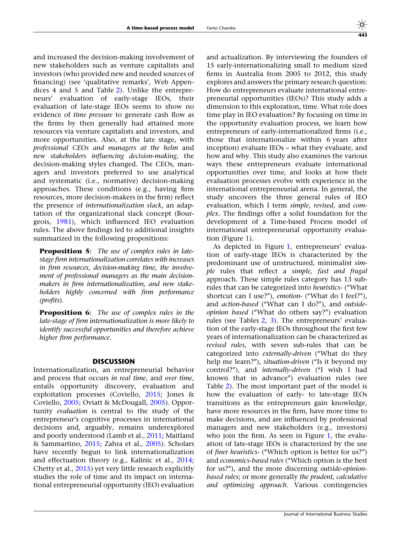and increased the decision-making involvement of new stakeholders such as venture capitalists and investors (who provided new and needed sources of financing) (see 'qualitative remarks', Web Appendices 4 and 5 and Table [2](#page-9-0)). Unlike the entrepreneurs' evaluation of early-stage IEOs, their evaluation of late-stage IEOs seems to show no evidence of time pressure to generate cash flow as the firms by then generally had attained more resources via venture capitalists and investors, and more opportunities. Also, at the late stage, with professional CEOs and managers at the helm and new stakeholders influencing decision-making, the decision-making styles changed. The CEOs, managers and investors preferred to use analytical and systematic (i.e., normative) decision-making approaches. These conditions (e.g., having firm resources, more decision-makers in the firm) reflect the presence of internationalization slack, an adaptation of the organizational slack concept (Bourgeois, [1981\)](#page-26-0), which influenced IEO evaluation rules. The above findings led to additional insights summarized in the following propositions:

**Proposition 5:** The use of complex rules in latestage firm internationalization correlates with increases in firm resources, decision-making time, the involvement of professional managers as the main decisionmakers in firm internationalization, and new stakeholders highly concerned with firm performance (profits).

**Proposition 6:** The use of complex rules in the late-stage of firm internationalization is more likely to identify successful opportunities and therefore achieve higher firm performance.

## DISCUSSION

Internationalization, an entrepreneurial behavior and process that occurs in real time, and over time, entails opportunity discovery, evaluation and exploitation processes (Coviello, [2015;](#page-26-0) Jones & Coviello, [2005](#page-27-0); Oviatt & McDougall, [2005\)](#page-27-0). Opportunity evaluation is central to the study of the entrepreneur's cognitive processes in international decisions and, arguably, remains underexplored and poorly understood (Lamb et al., [2011;](#page-27-0) Maitland & Sammartino, [2015;](#page-27-0) Zahra et al., [2005\)](#page-27-0). Scholars have recently begun to link internationalization and effectuation theory (e.g., Kalinic et al., [2014;](#page-27-0) Chetty et al., [2015\)](#page-26-0) yet very little research explicitly studies the role of time and its impact on international entrepreneurial opportunity (IEO) evaluation

and actualization. By interviewing the founders of 15 early-internationalizing small to medium sized firms in Australia from 2005 to 2012, this study explores and answers the primary research question: How do entrepreneurs evaluate international entrepreneurial opportunities (IEOs)? This study adds a dimension to this exploration, time. What role does time play in IEO evaluation? By focusing on time in the opportunity evaluation process, we learn how entrepreneurs of early-internationalized firms (i.e., those that internationalize within 6 years after inception) evaluate IEOs – what they evaluate, and how and why. This study also examines the various ways these entrepreneurs evaluate international opportunities over time, and looks at how their evaluation processes evolve with experience in the international entrepreneurial arena. In general, the study uncovers the three general rules of IEO evaluation, which I term simple, revised, and complex. The findings offer a solid foundation for the development of a Time-based Process model of international entrepreneurial opportunity evaluation (Figure [1](#page-12-0)).

As depicted in Figure [1](#page-12-0), entrepreneurs' evaluation of early-stage IEOs is characterized by the predominant use of unstructured, minimalist simple rules that reflect a simple, fast and frugal approach. These simple rules category has 13 subrules that can be categorized into heuristics- (''What shortcut can I use?"), emotion- ("What do I feel?"), and action-based ("What can I do?"), and outsideopinion based (''What do others say?'') evaluation rules (see Tables [2,](#page-9-0) [3](#page-11-0)). The entrepreneurs' evaluation of the early-stage IEOs throughout the first few years of internationalization can be characterized as revised rules, with seven sub-rules that can be categorized into externally-driven (''What do they help me learn?"), situation-driven ("Is it beyond my control?"), and *internally-driven* ("I wish I had known that in advance'') evaluation rules (see Table [2](#page-9-0)). The most important part of the model is how the evaluation of early- to late-stage IEOs transitions as the entrepreneurs gain knowledge, have more resources in the firm, have more time to make decisions, and are influenced by professional managers and new stakeholders (e.g., investors) who join the firm. As seen in Figure [1](#page-12-0), the evaluation of late-stage IEOs is characterized by the use of finer heuristics- (''Which option is better for us?'') and economics-based rules ("Which option is the best for us?''), and the more discerning outside-opinionbased rules; or more generally the prudent, calculative and optimizing approach. Various contingencies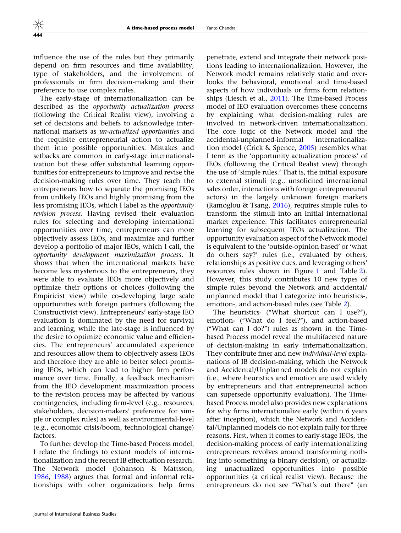influence the use of the rules but they primarily depend on firm resources and time availability, type of stakeholders, and the involvement of professionals in firm decision-making and their preference to use complex rules.

The early-stage of internationalization can be described as the opportunity actualization process (following the Critical Realist view), involving a set of decisions and beliefs to acknowledge international markets as un-actualized opportunities and the requisite entrepreneurial action to actualize them into possible opportunities. Mistakes and setbacks are common in early-stage internationalization but these offer substantial learning opportunities for entrepreneurs to improve and revise the decision-making rules over time. They teach the entrepreneurs how to separate the promising IEOs from unlikely IEOs and highly promising from the less promising IEOs, which I label as the opportunity revision process. Having revised their evaluation rules for selecting and developing international opportunities over time, entrepreneurs can more objectively assess IEOs, and maximize and further develop a portfolio of major IEOs, which I call, the opportunity development maximization process. It shows that when the international markets have become less mysterious to the entrepreneurs, they were able to evaluate IEOs more objectively and optimize their options or choices (following the Empiricist view) while co-developing large scale opportunities with foreign partners (following the Constructivist view). Entrepreneurs' early-stage IEO evaluation is dominated by the need for survival and learning, while the late-stage is influenced by the desire to optimize economic value and efficiencies. The entrepreneurs' accumulated experience and resources allow them to objectively assess IEOs and therefore they are able to better select promising IEOs, which can lead to higher firm performance over time. Finally, a feedback mechanism from the IEO development maximization process to the revision process may be affected by various contingencies, including firm-level (e.g., resources, stakeholders, decision-makers' preference for simple or complex rules) as well as environmental-level (e.g., economic crisis/boom, technological change) factors.

To further develop the Time-based Process model, I relate the findings to extant models of internationalization and the recent IB effectuation research. The Network model (Johanson & Mattsson, [1986](#page-27-0), [1988](#page-27-0)) argues that formal and informal relationships with other organizations help firms

penetrate, extend and integrate their network positions leading to internationalization. However, the Network model remains relatively static and overlooks the behavioral, emotional and time-based aspects of how individuals or firms form relationships (Liesch et al., [2011](#page-27-0)). The Time-based Process model of IEO evaluation overcomes these concerns by explaining what decision-making rules are involved in network-driven internationalization. The core logic of the Network model and the accidental-unplanned-informal internationalization model (Crick & Spence, [2005\)](#page-26-0) resembles what I term as the 'opportunity actualization process' of IEOs (following the Critical Realist view) through the use of 'simple rules.' That is, the initial exposure to external stimuli (e.g., unsolicited international sales order, interactions with foreign entrepreneurial actors) in the largely unknown foreign markets (Ramoglou & Tsang, [2016\)](#page-27-0), requires simple rules to transform the stimuli into an initial international market experience. This facilitates entrepreneurial learning for subsequent IEOs actualization. The opportunity evaluation aspect of the Network model is equivalent to the 'outside-opinion based' or 'what do others say?' rules (i.e., evaluated by others, relationships as positive cues, and leveraging others' resources rules shown in Figure [1](#page-12-0) and Table [2](#page-9-0)). However, this study contributes 10 new types of simple rules beyond the Network and accidental/ unplanned model that I categorize into heuristics-, emotion-, and action-based rules (see Table [2](#page-9-0)).

The heuristics- ("What shortcut can I use?"), emotion- (''What do I feel?''), and action-based (''What can I do?'') rules as shown in the Timebased Process model reveal the multifaceted nature of decision-making in early internationalization. They contribute finer and new individual-level explanations of IB decision-making, which the Network and Accidental/Unplanned models do not explain (i.e., where heuristics and emotion are used widely by entrepreneurs and that entrepreneurial action can supersede opportunity evaluation). The Timebased Process model also provides new explanations for why firms internationalize early (within 6 years after inception), which the Network and Accidental/Unplanned models do not explain fully for three reasons. First, when it comes to early-stage IEOs, the decision-making process of early internationalizing entrepreneurs revolves around transforming nothing into something (a binary decision), or actualizing unactualized opportunities into possible opportunities (a critical realist view). Because the entrepreneurs do not see "What's out there" (an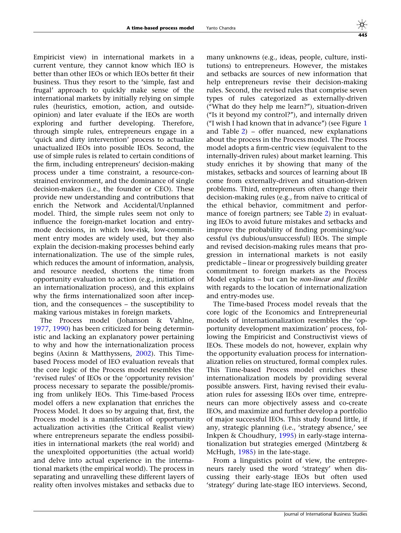Empiricist view) in international markets in a current venture, they cannot know which IEO is better than other IEOs or which IEOs better fit their business. Thus they resort to the 'simple, fast and frugal' approach to quickly make sense of the international markets by initially relying on simple rules (heuristics, emotion, action, and outsideopinion) and later evaluate if the IEOs are worth exploring and further developing. Therefore, through simple rules, entrepreneurs engage in a 'quick and dirty intervention' process to actualize unactualized IEOs into possible IEOs. Second, the use of simple rules is related to certain conditions of the firm, including entrepreneurs' decision-making process under a time constraint, a resource-constrained environment, and the dominance of single decision-makers (i.e., the founder or CEO). These provide new understanding and contributions that enrich the Network and Accidental/Unplanned model. Third, the simple rules seem not only to influence the foreign-market location and entrymode decisions, in which low-risk, low-commitment entry modes are widely used, but they also explain the decision-making processes behind early internationalization. The use of the simple rules, which reduces the amount of information, analysis, and resource needed, shortens the time from opportunity evaluation to action (e.g., initiation of an internationalization process), and this explains why the firms internationalized soon after inception, and the consequences – the susceptibility to making various mistakes in foreign markets.

The Process model (Johanson & Vahlne, [1977,](#page-27-0) [1990](#page-27-0)) has been criticized for being deterministic and lacking an explanatory power pertaining to why and how the internationalization process begins (Axinn & Matthyssens, [2002\)](#page-26-0). This Timebased Process model of IEO evaluation reveals that the core logic of the Process model resembles the 'revised rules' of IEOs or the 'opportunity revision' process necessary to separate the possible/promising from unlikely IEOs. This Time-based Process model offers a new explanation that enriches the Process Model. It does so by arguing that, first, the Process model is a manifestation of opportunity actualization activities (the Critical Realist view) where entrepreneurs separate the endless possibilities in international markets (the real world) and the unexploited opportunities (the actual world) and delve into actual experience in the international markets (the empirical world). The process in separating and unravelling these different layers of reality often involves mistakes and setbacks due to

many unknowns (e.g., ideas, people, culture, institutions) to entrepreneurs. However, the mistakes and setbacks are sources of new information that help entrepreneurs revise their decision-making rules. Second, the revised rules that comprise seven types of rules categorized as externally-driven (''What do they help me learn?''), situation-driven (''Is it beyond my control?''), and internally driven (''I wish I had known that in advance'') (see Figure [1](#page-12-0) and Table [2](#page-9-0)) – offer nuanced, new explanations about the process in the Process model. The Process model adopts a firm-centric view (equivalent to the internally-driven rules) about market learning. This study enriches it by showing that many of the mistakes, setbacks and sources of learning about IB come from externally-driven and situation-driven problems. Third, entrepreneurs often change their decision-making rules (e.g., from naïve to critical of the ethical behavior, commitment and performance of foreign partners; see Table [2](#page-9-0)) in evaluating IEOs to avoid future mistakes and setbacks and improve the probability of finding promising/successful (vs dubious/unsuccessful) IEOs. The simple and revised decision-making rules means that progression in international markets is not easily predictable – linear or progressively building greater commitment to foreign markets as the Process Model explains – but can be non-linear and flexible with regards to the location of internationalization and entry-modes use.

The Time-based Process model reveals that the core logic of the Economics and Entrepreneurial models of internationalization resembles the 'opportunity development maximization' process, following the Empiricist and Constructivist views of IEOs. These models do not, however, explain why the opportunity evaluation process for internationalization relies on structured, formal complex rules. This Time-based Process model enriches these internationalization models by providing several possible answers. First, having revised their evaluation rules for assessing IEOs over time, entrepreneurs can more objectively assess and co-create IEOs, and maximize and further develop a portfolio of major successful IEOs. This study found little, if any, strategic planning (i.e., 'strategy absence,' see Inkpen & Choudhury, [1995](#page-27-0)) in early-stage internationalization but strategies emerged (Mintzberg & McHugh, [1985](#page-27-0)) in the late-stage.

From a linguistics point of view, the entrepreneurs rarely used the word 'strategy' when discussing their early-stage IEOs but often used 'strategy' during late-stage IEO interviews. Second,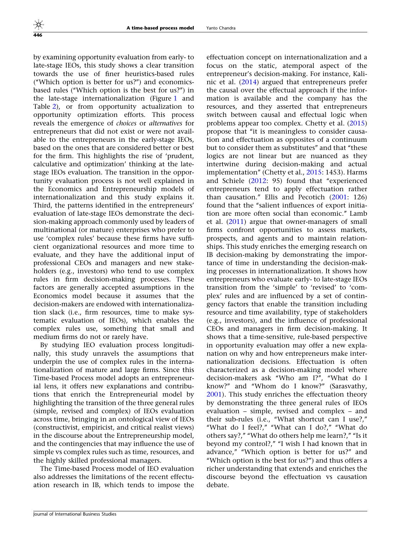by examining opportunity evaluation from early- to late-stage IEOs, this study shows a clear transition towards the use of finer heuristics-based rules (''Which option is better for us?'') and economicsbased rules (''Which option is the best for us?'') in the late-stage internationalization (Figure [1](#page-12-0) and Table [2](#page-9-0)), or from opportunity actualization to opportunity optimization efforts. This process reveals the emergence of choices or alternatives for entrepreneurs that did not exist or were not available to the entrepreneurs in the early-stage IEOs, based on the ones that are considered better or best for the firm. This highlights the rise of 'prudent, calculative and optimization' thinking at the latestage IEOs evaluation. The transition in the opportunity evaluation process is not well explained in the Economics and Entrepreneurship models of internationalization and this study explains it. Third, the patterns identified in the entrepreneurs' evaluation of late-stage IEOs demonstrate the decision-making approach commonly used by leaders of multinational (or mature) enterprises who prefer to use 'complex rules' because these firms have sufficient organizational resources and more time to evaluate, and they have the additional input of professional CEOs and managers and new stakeholders (e.g., investors) who tend to use complex rules in firm decision-making processes. These factors are generally accepted assumptions in the Economics model because it assumes that the decision-makers are endowed with internationalization slack (i.e., firm resources, time to make systematic evaluation of IEOs), which enables the complex rules use, something that small and medium firms do not or rarely have.

By studying IEO evaluation process longitudinally, this study unravels the assumptions that underpin the use of complex rules in the internationalization of mature and large firms. Since this Time-based Process model adopts an entrepreneurial lens, it offers new explanations and contributions that enrich the Entrepreneurial model by highlighting the transition of the three general rules (simple, revised and complex) of IEOs evaluation across time, bringing in an ontological view of IEOs (constructivist, empiricist, and critical realist views) in the discourse about the Entrepreneurship model, and the contingencies that may influence the use of simple vs complex rules such as time, resources, and the highly skilled professional managers.

The Time-based Process model of IEO evaluation also addresses the limitations of the recent effectuation research in IB, which tends to impose the effectuation concept on internationalization and a focus on the static, atemporal aspect of the entrepreneur's decision-making. For instance, Kalinic et al. ([2014](#page-27-0)) argued that entrepreneurs prefer the causal over the effectual approach if the information is available and the company has the resources, and they asserted that entrepreneurs switch between causal and effectual logic when problems appear too complex. Chetty et al. [\(2015](#page-26-0)) propose that ''it is meaningless to consider causation and effectuation as opposites of a continuum but to consider them as substitutes'' and that ''these logics are not linear but are nuanced as they intertwine during decision-making and actual implementation'' (Chetty et al., [2015](#page-26-0): 1453). Harms and Schiele ([2012:](#page-26-0) 95) found that ''experienced entrepreneurs tend to apply effectuation rather than causation.'' Ellis and Pecotich ([2001:](#page-26-0) 126) found that the "salient influences of export initiation are more often social than economic.'' Lamb et al. ([2011\)](#page-27-0) argue that owner-managers of small firms confront opportunities to assess markets, prospects, and agents and to maintain relationships. This study enriches the emerging research on IB decision-making by demonstrating the importance of time in understanding the decision-making processes in internationalization. It shows how entrepreneurs who evaluate early- to late-stage IEOs transition from the 'simple' to 'revised' to 'complex' rules and are influenced by a set of contingency factors that enable the transition including resource and time availability, type of stakeholders (e.g., investors), and the influence of professional CEOs and managers in firm decision-making. It shows that a time-sensitive, rule-based perspective in opportunity evaluation may offer a new explanation on why and how entrepreneurs make internationalization decisions. Effectuation is often characterized as a decision-making model where decision-makers ask ''Who am I?'', ''What do I know?'' and ''Whom do I know?'' (Sarasvathy, [2001\)](#page-27-0). This study enriches the effectuation theory by demonstrating the three general rules of IEOs evaluation – simple, revised and complex – and their sub-rules (i.e., ''What shortcut can I use?,'' "What do I feel?," "What can I do?," "What do others say?," "What do others help me learn?," "Is it beyond my control?," "I wish I had known that in advance,'' ''Which option is better for us?'' and ''Which option is the best for us?'') and thus offers a richer understanding that extends and enriches the discourse beyond the effectuation vs causation debate.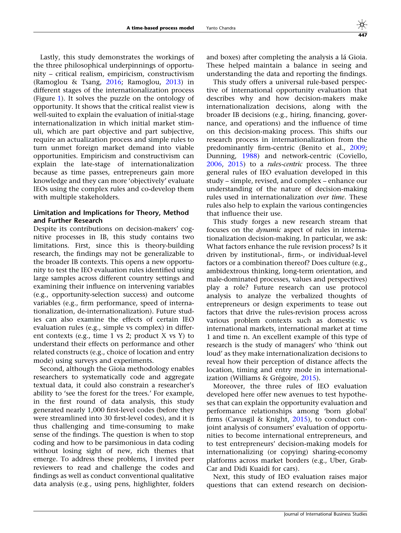Lastly, this study demonstrates the workings of the three philosophical underpinnings of opportunity – critical realism, empiricism, constructivism (Ramoglou & Tsang, [2016](#page-27-0); Ramoglou, [2013](#page-27-0)) in different stages of the internationalization process (Figure [1\)](#page-12-0). It solves the puzzle on the ontology of opportunity. It shows that the critical realist view is well-suited to explain the evaluation of initial-stage internationalization in which initial market stimuli, which are part objective and part subjective, require an actualization process and simple rules to turn unmet foreign market demand into viable opportunities. Empiricism and constructivism can explain the late-stage of internationalization because as time passes, entrepreneurs gain more knowledge and they can more 'objectively' evaluate IEOs using the complex rules and co-develop them with multiple stakeholders.

## Limitation and Implications for Theory, Method and Further Research

Despite its contributions on decision-makers' cognitive processes in IB, this study contains two limitations. First, since this is theory-building research, the findings may not be generalizable to the broader IB contexts. This opens a new opportunity to test the IEO evaluation rules identified using large samples across different country settings and examining their influence on intervening variables (e.g., opportunity-selection success) and outcome variables (e.g., firm performance, speed of internationalization, de-internationalization). Future studies can also examine the effects of certain IEO evaluation rules (e.g., simple vs complex) in different contexts (e.g., time 1 vs 2; product X vs Y) to understand their effects on performance and other related constructs (e.g., choice of location and entry mode) using surveys and experiments.

Second, although the Gioia methodology enables researchers to systematically code and aggregate textual data, it could also constrain a researcher's ability to 'see the forest for the trees.' For example, in the first round of data analysis, this study generated nearly 1,000 first-level codes (before they were streamlined into 30 first-level codes), and it is thus challenging and time-consuming to make sense of the findings. The question is when to stop coding and how to be parsimonious in data coding without losing sight of new, rich themes that emerge. To address these problems, I invited peer reviewers to read and challenge the codes and findings as well as conduct conventional qualitative data analysis (e.g., using pens, highlighter, folders

and boxes) after completing the analysis a lá Gioia. These helped maintain a balance in seeing and understanding the data and reporting the findings.

This study offers a universal rule-based perspective of international opportunity evaluation that describes why and how decision-makers make internationalization decisions, along with the broader IB decisions (e.g., hiring, financing, governance, and operations) and the influence of time on this decision-making process. This shifts our research process in internationalization from the predominantly firm-centric (Benito et al., [2009;](#page-26-0) Dunning, [1988](#page-26-0)) and network-centric (Coviello, [2006,](#page-26-0) [2015](#page-26-0)) to a rules-centric process. The three general rules of IEO evaluation developed in this study – simple, revised, and complex – enhance our understanding of the nature of decision-making rules used in internationalization over time. These rules also help to explain the various contingencies that influence their use.

This study forges a new research stream that focuses on the dynamic aspect of rules in internationalization decision-making. In particular, we ask: What factors enhance the rule revision process? Is it driven by institutional-, firm-, or individual-level factors or a combination thereof? Does culture (e.g., ambidextrous thinking, long-term orientation, and male-dominated processes, values and perspectives) play a role? Future research can use protocol analysis to analyze the verbalized thoughts of entrepreneurs or design experiments to tease out factors that drive the rules-revision process across various problem contexts such as domestic vs international markets, international market at time 1 and time n. An excellent example of this type of research is the study of managers' who 'think out loud' as they make internationalization decisions to reveal how their perception of distance affects the location, timing and entry mode in internationalization (Williams & Grégoire,  $2015$ ).

Moreover, the three rules of IEO evaluation developed here offer new avenues to test hypotheses that can explain the opportunity evaluation and performance relationships among 'born global' firms (Cavusgil & Knight, [2015](#page-26-0)), to conduct conjoint analysis of consumers' evaluation of opportunities to become international entrepreneurs, and to test entrepreneurs' decision-making models for internationalizing (or copying) sharing-economy platforms across market borders (e.g., Uber, Grab-Car and Didi Kuaidi for cars).

Next, this study of IEO evaluation raises major questions that can extend research on decision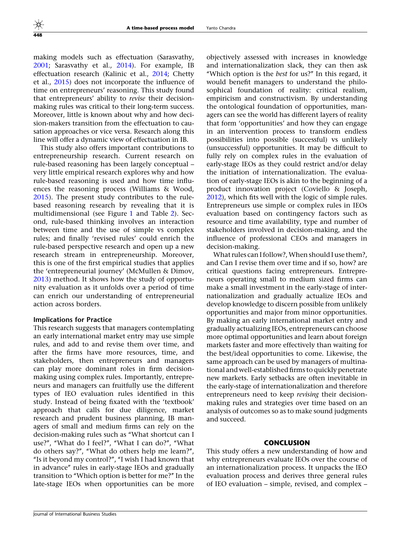making models such as effectuation (Sarasvathy, [2001](#page-27-0); Sarasvathy et al., [2014\)](#page-27-0). For example, IB effectuation research (Kalinic et al., [2014;](#page-27-0) Chetty et al., [2015\)](#page-26-0) does not incorporate the influence of time on entrepreneurs' reasoning. This study found that entrepreneurs' ability to revise their decisionmaking rules was critical to their long-term success. Moreover, little is known about why and how decision-makers transition from the effectuation to causation approaches or vice versa. Research along this line will offer a dynamic view of effectuation in IB.

This study also offers important contributions to entrepreneurship research. Current research on rule-based reasoning has been largely conceptual – very little empirical research explores why and how rule-based reasoning is used and how time influences the reasoning process (Williams & Wood, [2015\)](#page-27-0). The present study contributes to the rulebased reasoning research by revealing that it is multidimensional (see Figure [1](#page-12-0) and Table [2](#page-9-0)). Second, rule-based thinking involves an interaction between time and the use of simple vs complex rules; and finally 'revised rules' could enrich the rule-based perspective research and open up a new research stream in entrepreneurship. Moreover, this is one of the first empirical studies that applies the 'entrepreneurial journey' (McMullen & Dimov, [2013\)](#page-27-0) method. It shows how the study of opportunity evaluation as it unfolds over a period of time can enrich our understanding of entrepreneurial action across borders.

#### Implications for Practice

This research suggests that managers contemplating an early international market entry may use simple rules, and add to and revise them over time, and after the firms have more resources, time, and stakeholders, then entrepreneurs and managers can play more dominant roles in firm decisionmaking using complex rules. Importantly, entrepreneurs and managers can fruitfully use the different types of IEO evaluation rules identified in this study. Instead of being fixated with the 'textbook' approach that calls for due diligence, market research and prudent business planning, IB managers of small and medium firms can rely on the decision-making rules such as ''What shortcut can I use?", "What do I feel?", "What I can do?", "What do others say?'', ''What do others help me learn?'', ''Is it beyond my control?'', ''I wish I had known that in advance'' rules in early-stage IEOs and gradually transition to ''Which option is better for me?'' In the late-stage IEOs when opportunities can be more

objectively assessed with increases in knowledge and internationalization slack, they can then ask ''Which option is the best for us?'' In this regard, it would benefit managers to understand the philosophical foundation of reality: critical realism, empiricism and constructivism. By understanding the ontological foundation of opportunities, managers can see the world has different layers of reality that form 'opportunities' and how they can engage in an intervention process to transform endless possibilities into possible (successful) vs unlikely (unsuccessful) opportunities. It may be difficult to fully rely on complex rules in the evaluation of early-stage IEOs as they could restrict and/or delay the initiation of internationalization. The evaluation of early-stage IEOs is akin to the beginning of a product innovation project (Coviello & Joseph, [2012\)](#page-26-0), which fits well with the logic of simple rules. Entrepreneurs use simple or complex rules in IEOs evaluation based on contingency factors such as resource and time availability, type and number of stakeholders involved in decision-making, and the influence of professional CEOs and managers in decision-making.

What rules can I follow?, When should I use them?, and Can I revise them over time and if so, how? are critical questions facing entrepreneurs. Entrepreneurs operating small to medium sized firms can make a small investment in the early-stage of internationalization and gradually actualize IEOs and develop knowledge to discern possible from unlikely opportunities and major from minor opportunities. By making an early international market entry and gradually actualizing IEOs, entrepreneurs can choose more optimal opportunities and learn about foreign markets faster and more effectively than waiting for the best/ideal opportunities to come. Likewise, the same approach can be used by managers of multinational and well-established firms to quickly penetrate new markets. Early setbacks are often inevitable in the early-stage of internationalization and therefore entrepreneurs need to keep *revising* their decisionmaking rules and strategies over time based on an analysis of outcomes so as to make sound judgments and succeed.

## CONCLUSION

This study offers a new understanding of how and why entrepreneurs evaluate IEOs over the course of an internationalization process. It unpacks the IEO evaluation process and derives three general rules of IEO evaluation – simple, revised, and complex –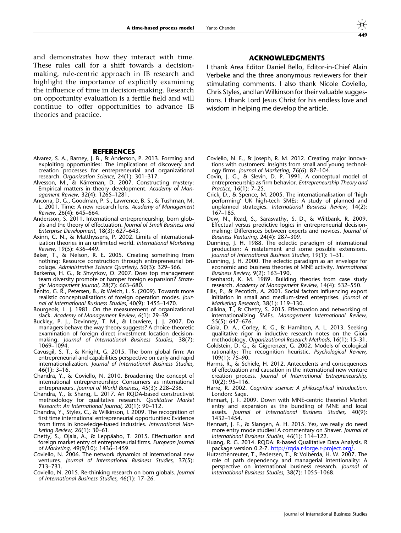<span id="page-26-0"></span>and demonstrates how they interact with time. These rules call for a shift towards a decisionmaking, rule-centric approach in IB research and highlight the importance of explicitly examining the influence of time in decision-making. Research on opportunity evaluation is a fertile field and will continue to offer opportunities to advance IB theories and practice.

#### **REFERENCES**

- Alvarez, S. A., Barney, J. B., & Anderson, P. 2013. Forming and exploiting opportunities: The implications of discovery and creation processes for entrepreneurial and organizational research. Organization Science, 24(1): 301–317.
- Alvesson, M., & Kärreman, D. 2007. Constructing mystery: Empirical matters in theory development. Academy of Management Review, 32(4): 1265–1281.
- Ancona, D. G., Goodman, P. S., Lawrence, B. S., & Tushman, M. L. 2001. Time: A new research lens. Academy of Management Review, 26(4): 645–664.
- Andersson, S. 2011. International entrepreneurship, born globals and the theory of effectuation. Journal of Small Business and Enterprise Development, 18(3): 627–643.
- Axinn, C. N., & Matthyssens, P. 2002. Limits of internationalization theories in an unlimited world. International Marketing Review, 19(5): 436–449.
- Baker, T., & Nelson, R. E. 2005. Creating something from nothing: Resource construction through entrepreneurial bricolage. Administrative Science Quarterly, 50(3): 329–366.
- Barkema, H. G., & Shvyrkov, O. 2007. Does top management team diversity promote or hamper foreign expansion? Strategic Management Journal, 28(7): 663–680.
- Benito, G. R., Petersen, B., & Welch, L. S. (2009). Towards more realistic conceptualisations of foreign operation modes. Journal of International Business Studies, 40(9): 1455–1470.
- Bourgeois, L. J. 1981. On the measurement of organizational slack. Academy of Management Review, 6(1): 29–39.
- Buckley, P. J., Devinney, T. M., & Louviere, J. J. 2007. Do managers behave the way theory suggests? A choice-theoretic examination of foreign direct investment location decisionmaking. Journal of International Business Studies, 38(7): 1069–1094.
- Cavusgil, S. T., & Knight, G. 2015. The born global firm: An entrepreneurial and capabilities perspective on early and rapid internationalization. Journal of International Business Studies, 46(1): 3–16.
- Chandra, Y., & Coviello, N. 2010. Broadening the concept of international entrepreneurship: Consumers as international entrepreneurs. Journal of World Business, 45(3): 228–236.
- Chandra, Y., & Shang, L. 2017. An RQDA-based constructivist methodology for qualitative research. Qualitative Market Research: An International Journal, 20(1): 90–112.
- Chandra, Y., Styles, C., & Wilkinson, I. 2009. The recognition of first time international entrepreneurial opportunities: Evidence from firms in knowledge-based industries. International Marketing Review, 26(1): 30–61.
- Chetty, S., Ojala, A., & Leppäaho, T. 2015. Effectuation and foreign market entry of entrepreneurial firms. European Journal of Marketing, 49(9/10): 1436–1459.
- Coviello, N. 2006. The network dynamics of international new ventures. Journal of International Business Studies, 37(5): 713–731.
- Coviello, N. 2015. Re-thinking research on born globals. Journal of International Business Studies, 46(1): 17–26.

## ACKNOWLEDGMENTS

I thank Area Editor Daniel Bello, Editor-in-Chief Alain Verbeke and the three anonymous reviewers for their stimulating comments. I also thank Nicole Coviello, Chris Styles, and Ian Wilkinson for their valuable suggestions. I thank Lord Jesus Christ for his endless love and wisdom in helping me develop the article.

- Coviello, N. E., & Joseph, R. M. 2012. Creating major innovations with customers: Insights from small and young technology firms. Journal of Marketing, 76(6): 87–104.
- Covin, J. G., & Slevin, D. P. 1991. A conceptual model of entrepreneurship as firm behavior. Entrepreneurship Theory and Practice, 16(1): 7–25.
- Crick, D., & Spence, M. 2005. The internationalisation of 'high performing' UK high-tech SMEs: A study of planned and unplanned strategies. International Business Review, 14(2): 167–185.
- Dew, N., Read, S., Sarasvathy, S. D., & Wiltbank, R. 2009. Effectual versus predictive logics in entrepreneurial decisionmaking: Differences between experts and novices. Journal of Business Venturing, 24(4): 287–309.
- Dunning, J. H. 1988. The eclectic paradigm of international production: A restatement and some possible extensions. Journal of International Business Studies, 19(1): 1–31.
- Dunning, J. H. 2000. The eclectic paradigm as an envelope for economic and business theories of MNE activity. International Business Review, 9(2): 163–190.
- Eisenhardt, K. M. 1989. Building theories from case study research. Academy of Management Review, 14(4): 532–550.
- Ellis, P., & Pecotich, A. 2001. Social factors influencing export initiation in small and medium-sized enterprises. Journal of Marketing Research, 38(1): 119–130.
- Galkina, T., & Chetty, S. 2015. Effectuation and networking of internationalizing SMEs. Management International Review, 55(5): 647–676.
- Gioia, D. A., Corley, K. G., & Hamilton, A. L. 2013. Seeking qualitative rigor in inductive research notes on the Gioia methodology. Organizational Research Methods, 16(1): 15–31.
- Goldstein, D. G., & Gigerenzer, G. 2002. Models of ecological rationality: The recognition heuristic. Psychological Review, 109(1): 75–90.
- Harms, R., & Schiele, H. 2012. Antecedents and consequences of effectuation and causation in the international new venture creation process. Journal of International Entrepreneurship, 10(2): 95–116.
- Harre, R. 2002. Cognitive science: A philosophical introduction. London: Sage.
- Hennart, J. F. 2009. Down with MNE-centric theories! Market entry and expansion as the bundling of MNE and local assets. Journal of International Business Studies, 40(9): 1432–1454.
- Hennart, J. F., & Slangen, A. H. 2015. Yes, we really do need more entry mode studies! A commentary on Shaver. Journal of International Business Studies, 46(1): 114–122.
- Huang, R. G. 2014. RQDA: R-based Qualitative Data Analysis. R package version 0.2-7. <http://rqda.r-forge.r-project.org/>.
- Hutzschenreuter, T., Pedersen, T., & Volberda, H. W. 2007. The role of path dependency and managerial intentionality: A perspective on international business research. Journal of International Business Studies, 38(7): 1055–1068.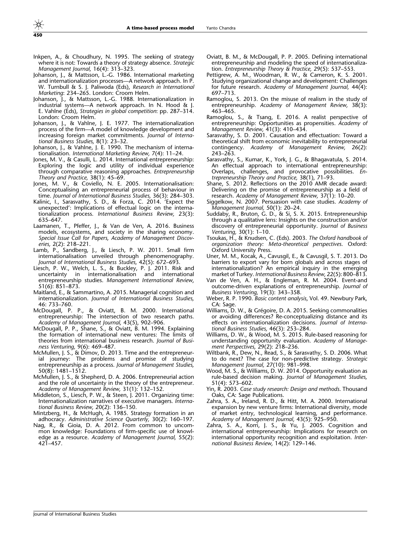- <span id="page-27-0"></span>Inkpen, A., & Choudhury, N. 1995. The seeking of strategy where it is not: Towards a theory of strategy absence. Strategic Management Journal, 16(4): 313–323.
- Johanson, J., & Mattsson, L.-G. 1986. International marketing and internationalization processes—A network approach. In P. W. Turnbull & S. J. Paliwoda (Eds), Research in International Marketing: 234–265. London: Croom Helm.
- Johanson, J., & Mattsson, L.-G. 1988. Internationalization in industrial systems—A network approach. In N. Hood & J. E. Vahlne (Eds), Strategies in global competition: pp. 287–314. London: Croom Helm.
- Johanson, J., & Vahlne, J. E. 1977. The internationalization process of the firm—A model of knowledge development and increasing foreign market commitments. Journal of International Business Studies, 8(1): 23–32.
- Johanson, J., & Vahlne, J. E. 1990. The mechanism of internationalisation. International Marketing Review, 7(4): 11–24.
- Jones, M. V., & Casulli, L. 2014. International entrepreneurship: Exploring the logic and utility of individual experience through comparative reasoning approaches. Entrepreneurship Theory and Practice, 38(1): 45–69.
- Jones, M. V., & Coviello, N. E. 2005. Internationalisation: Conceptualising an entrepreneurial process of behaviour in time. Journal of International Business Studies, 36(3): 284–303.
- Kalinic, I., Sarasvathy, S. D., & Forza, C. 2014. 'Expect the unexpected': Implications of effectual logic on the internationalization process. International Business Review, 23(3): 635–647.
- Laamanen, T., Pfeffer, J., & Van de Ven, A. 2016. Business models, ecosystems, and society in the sharing economy. Special Issue Call for Papers, Academy of Management Discoveries, 2(2): 218–221.
- Lamb, P., Sandberg, J., & Liesch, P. W. 2011. Small firm internationalisation unveiled through phenomenography. Journal of International Business Studies, 42(5): 672–693.
- Liesch, P. W., Welch, L. S., & Buckley, P. J. 2011. Risk and uncertainty in internationalisation and international entrepreneurship studies. Management International Review, 51(6): 851–873.
- Maitland, E., & Sammartino, A. 2015. Managerial cognition and internationalization. Journal of International Business Studies, 46: 733–760.
- McDougall, P. P., & Oviatt, B. M. 2000. International entrepreneurship: The intersection of two research paths. Academy of Management Journal, 43(5), 902–906.
- McDougall, P. P., Shane, S., & Oviatt, B. M. 1994. Explaining the formation of international new ventures: The limits of theories from international business research. Journal of Business Venturing, 9(6): 469–487.
- McMullen, J. S., & Dimov, D. 2013. Time and the entrepreneurial journey: The problems and promise of studying entrepreneurship as a process. Journal of Management Studies, 50(8): 1481–1512.
- McMullen, J. S., & Shepherd, D. A. 2006. Entrepreneurial action and the role of uncertainty in the theory of the entrepreneur. Academy of Management Review, 31(1): 132–152.
- Middleton, S., Liesch, P. W., & Steen, J. 2011. Organizing time: Internationalization narratives of executive managers. International Business Review, 20(2): 136–150.
- Mintzberg, H., & McHugh, A. 1985. Strategy formation in an adhocracy. Administrative Science Quarterly, 30(2): 160–197.
- Nag, R., & Gioia, D. A. 2012. From common to uncommon knowledge: Foundations of firm-specific use of knowledge as a resource. Academy of Management Journal, 55(2): 421–457.
- Oviatt, B. M., & McDougall, P. P. 2005. Defining international entrepreneurship and modeling the speed of internationalization. Entrepreneurship Theory & Practice, 29(5): 537–553.
- Pettigrew, A. M., Woodman, R. W., & Cameron, K. S. 2001. Studying organizational change and development: Challenges for future research. Academy of Management Journal, 44(4): 697–713.
- Ramoglou, S. 2013. On the misuse of realism in the study of entrepreneurship. Academy of Management Review, 38(3): 463–465.
- Ramoglou, S., & Tsang, E. 2016. A realist perspective of entrepreneurship: Opportunities as propensities. Academy of Management Review, 41(3): 410–434.
- Sarasvathy, S. D. 2001. Causation and effectuation: Toward a theoretical shift from economic inevitability to entrepreneurial contingency. Academy of Management Review, 26(2): 243–263.
- Sarasvathy, S., Kumar, K., York, J. G., & Bhagavatula, S. 2014. An effectual approach to international entrepreneurship: Overlaps, challenges, and provocative possibilities. Entrepreneurship Theory and Practice, 38(1), 71–93.
- Shane, S. 2012. Reflections on the 2010 AMR decade award: Delivering on the promise of entrepreneurship as a field of research. Academy of Management Review, 37(1): 10–20.
- Siggelkow, N. 2007. Persuasion with case studies. Academy of Management Journal, 50(1): 20–24.
- Suddaby, R., Bruton, G. D., & Si, S. X. 2015. Entrepreneurship through a qualitative lens: Insights on the construction and/or discovery of entrepreneurial opportunity. Journal of Business Venturing, 30(1): 1–10.
- Tsoukas, H., & Knudsen, C. (Eds). 2003. The Oxford handbook of organization theory: Meta-theoretical perspectives. Oxford: Oxford University Press.
- Uner, M. M., Kocak, A., Cavusgil, E., & Cavusgil, S. T. 2013. Do barriers to export vary for born globals and across stages of internationalization? An empirical inquiry in the emerging market of Turkey. International Business Review, 22(5): 800–813.
- Van de Ven, A. H., & Engleman, R. M. 2004. Event-and outcome-driven explanations of entrepreneurship. Journal of Business Venturing, 19(3): 343–358.
- Weber, R. P. 1990. Basic content analysis, Vol. 49. Newbury Park, CA: Sage.
- Williams, D. W., & Grégoire, D. A. 2015. Seeking commonalities or avoiding differences? Re-conceptualizing distance and its effects on internationalization decisions. Journal of International Business Studies, 46(3): 253–284.
- Williams, D. W., & Wood, M. S. 2015. Rule-based reasoning for understanding opportunity evaluation. Academy of Management Perspectives, 29(2): 218–236.
- Wiltbank, R., Dew, N., Read, S., & Sarasvathy, S. D. 2006. What to do next? The case for non-predictive strategy. Strategic Management Journal, 27(10): 981–998.
- Wood, M. S., & Williams, D. W. 2014. Opportunity evaluation as rule-based decision making. Journal of Management Studies, 51(4): 573–602.
- Yin, R. 2003. Case study research: Design and methods. Thousand Oaks, CA: Sage Publications.
- Zahra, S. A., Ireland, R. D., & Hitt, M. A. 2000. International expansion by new venture firms: International diversity, mode of market entry, technological learning, and performance. Academy of Management Journal, 43(5): 925–950.
- Zahra, S. A., Korri, J. S., & Yu, J. 2005. Cognition and international entrepreneurship: Implications for research on international opportunity recognition and exploitation. International Business Review, 14(2): 129–146.